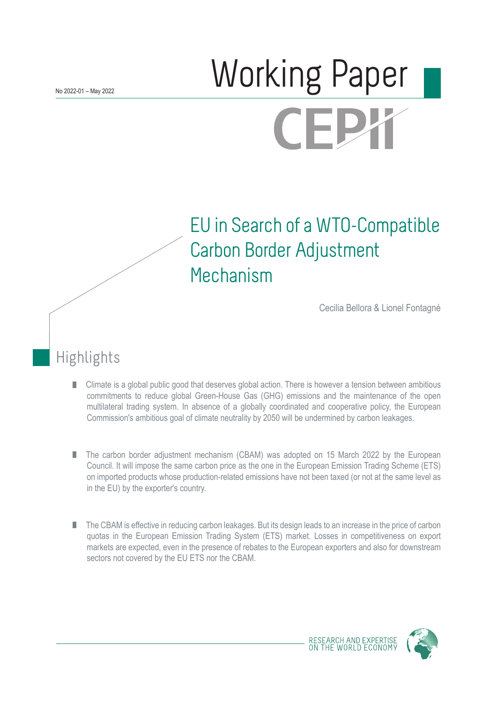# Norking Paper (FI

## EU in Search of a WTO-Compatible Carbon Border Adjustment Mechanism

Cecilia Bellora & Lionel Fontagné

## Highlights

- Climate is a global public good that deserves global action. There is however a tension between ambitious П commitments to reduce global Green-House Gas (GHG) emissions and the maintenance of the open multilateral trading system. In absence of a globally coordinated and cooperative policy, the European Commission's ambitious goal of climate neutrality by 2050 will be undermined by carbon leakages.
- The carbon border adjustment mechanism (CBAM) was adopted on 15 March 2022 by the European Council. It will impose the same carbon price as the one in the European Emission Trading Scheme (ETS) on imported products whose production-related emissions have not been taxed (or not at the same level as in the EU) by the exporter's country.
- The CBAM is effective in reducing carbon leakages. But its design leads to an increase in the price of carbon quotas in the European Emission Trading System (ETS) market. Losses in competitiveness on export markets are expected, even in the presence of rebates to the European exporters and also for downstream sectors not covered by the EU ETS nor the CBAM.

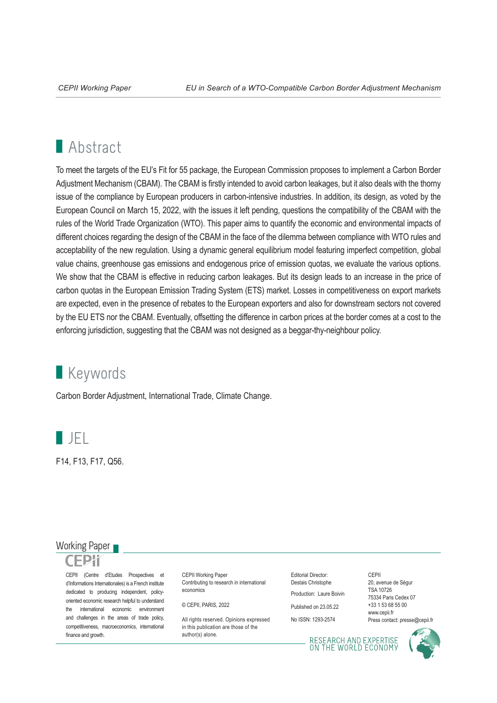## **Abstract**

To meet the targets of the EU's Fit for 55 package, the European Commission proposes to implement a Carbon Border Adjustment Mechanism (CBAM). The CBAM is firstly intended to avoid carbon leakages, but it also deals with the thorny issue of the compliance by European producers in carbon-intensive industries. In addition, its design, as voted by the European Council on March 15, 2022, with the issues it left pending, questions the compatibility of the CBAM with the rules of the World Trade Organization (WTO). This paper aims to quantify the economic and environmental impacts of different choices regarding the design of the CBAM in the face of the dilemma between compliance with WTO rules and acceptability of the new regulation. Using a dynamic general equilibrium model featuring imperfect competition, global value chains, greenhouse gas emissions and endogenous price of emission quotas, we evaluate the various options. We show that the CBAM is effective in reducing carbon leakages. But its design leads to an increase in the price of carbon quotas in the European Emission Trading System (ETS) market. Losses in competitiveness on export markets are expected, even in the presence of rebates to the European exporters and also for downstream sectors not covered by the EU ETS nor the CBAM. Eventually, offsetting the difference in carbon prices at the border comes at a cost to the enforcing jurisdiction, suggesting that the CBAM was not designed as a beggar-thy-neighbour policy.

## **Keywords**

Carbon Border Adjustment, International Trade, Climate Change.



F14, F13, F17, Q56.

### Working Paper

CEPII (Centre d'Etudes Prospectives et d'Informations Internationales) is a French institute dedicated to producing independent, policyoriented economic research helpful to understand the international economic environment and challenges in the areas of trade policy, competitiveness, macroeconomics, international finance and growth.

CFPII Working Paper Contributing to research in international economics

© CEPII, PARIS, 2022

All rights reserved. Opinions expressed in this publication are those of the author(s) alone.

Editorial Director: Destais Christophe Production: Laure Boivin

Published on 23.05.22

No ISSN: 1293-2574

CEPII 20, avenue de Ségur TSA 10726 75334 Paris Cedex 07 +33 1 53 68 55 00 www.cepii.fr Press contact: presse@cepii.fr

RESEARCH AND EXPERTISE<br>ON THE WORLD ECONOMY

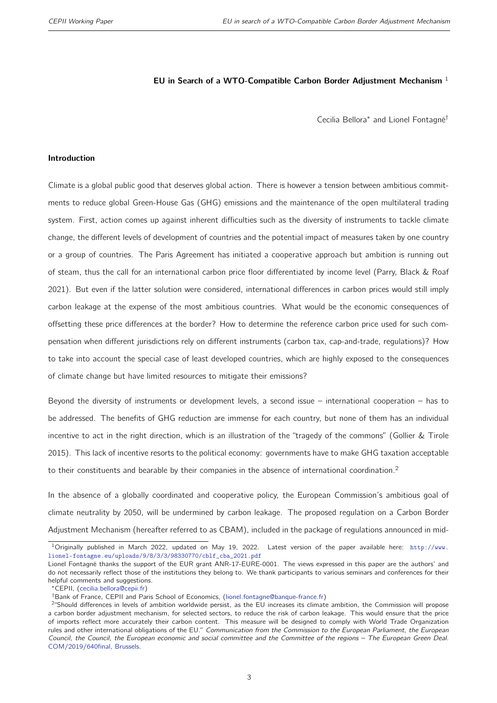#### EU in Search of a WTO-Compatible Carbon Border Adjustment Mechanism  $<sup>1</sup>$ </sup>

Cecilia Bellora<sup>∗</sup> and Lionel Fontagné†

#### <span id="page-2-0"></span>Introduction

Climate is a global public good that deserves global action. There is however a tension between ambitious commitments to reduce global Green-House Gas (GHG) emissions and the maintenance of the open multilateral trading system. First, action comes up against inherent difficulties such as the diversity of instruments to tackle climate change, the different levels of development of countries and the potential impact of measures taken by one country or a group of countries. The Paris Agreement has initiated a cooperative approach but ambition is running out of steam, thus the call for an international carbon price floor differentiated by income level [\(Parry, Black & Roaf](#page-33-0) [2021\)](#page-33-0). But even if the latter solution were considered, international differences in carbon prices would still imply carbon leakage at the expense of the most ambitious countries. What would be the economic consequences of offsetting these price differences at the border? How to determine the reference carbon price used for such compensation when different jurisdictions rely on different instruments (carbon tax, cap-and-trade, regulations)? How to take into account the special case of least developed countries, which are highly exposed to the consequences of climate change but have limited resources to mitigate their emissions?

Beyond the diversity of instruments or development levels, a second issue – international cooperation – has to be addressed. The benefits of GHG reduction are immense for each country, but none of them has an individual incentive to act in the right direction, which is an illustration of the "tragedy of the commons" [\(Gollier & Tirole](#page-32-0) [2015\)](#page-32-0). This lack of incentive resorts to the political economy: governments have to make GHG taxation acceptable to their constituents and bearable by their companies in the absence of international coordination.<sup>2</sup>

In the absence of a globally coordinated and cooperative policy, the European Commission's ambitious goal of climate neutrality by 2050, will be undermined by carbon leakage. The proposed regulation on a Carbon Border Adjustment Mechanism (hereafter referred to as CBAM), included in the package of regulations announced in mid-

 $1$ Originally published in March 2022, updated on May 19, 2022. Latest version of the paper available here: [http://www.](http://www.lionel-fontagne.eu/uploads/9/8/3/3/98330770/cblf_cba_2021.pdf) [lionel-fontagne.eu/uploads/9/8/3/3/98330770/cblf\\_cba\\_2021.pdf](http://www.lionel-fontagne.eu/uploads/9/8/3/3/98330770/cblf_cba_2021.pdf)

Lionel Fontagné thanks the support of the EUR grant ANR-17-EURE-0001. The views expressed in this paper are the authors' and do not necessarily reflect those of the institutions they belong to. We thank participants to various seminars and conferences for their helpful comments and suggestions.

<sup>∗</sup>CEPII, [\(cecilia.bellora@cepii.fr\)](mailto:cecilia.bellora@cepii.fr)

<sup>†</sup>Bank of France, CEPII and Paris School of Economics, [\(lionel.fontagne@banque-france.fr\)](mailto:lionel.fontagne@banque-france.fr)

<sup>&</sup>lt;sup>2</sup> Should differences in levels of ambition worldwide persist, as the EU increases its climate ambition, the Commission will propose a carbon border adjustment mechanism, for selected sectors, to reduce the risk of carbon leakage. This would ensure that the price of imports reflect more accurately their carbon content. This measure will be designed to comply with World Trade Organization rules and other international obligations of the EU." Communication from the Commission to the European Parliament, the European Council, the Council, the European economic and social committee and the Committee of the regions – The European Green Deal. [COM/2019/640final, Brussels.](https://eur-lex.europa.eu/legal-content/EN/TXT/?qid=1588580774040&uri=CELEX:52019DC0640)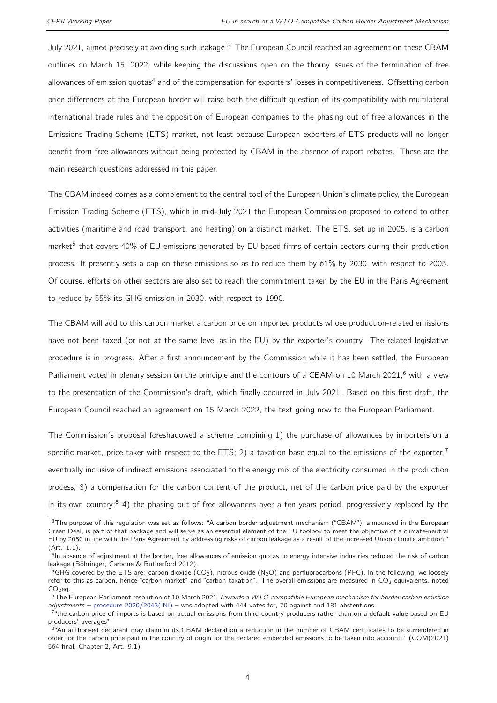July 2021, aimed precisely at avoiding such leakage.<sup>[3](#page-2-0)</sup> The European Council reached an agreement on these CBAM outlines on March 15, 2022, while keeping the discussions open on the thorny issues of the termination of free allowances of emission quotas<sup>[4](#page-2-0)</sup> and of the compensation for exporters' losses in competitiveness. Offsetting carbon price differences at the European border will raise both the difficult question of its compatibility with multilateral international trade rules and the opposition of European companies to the phasing out of free allowances in the Emissions Trading Scheme (ETS) market, not least because European exporters of ETS products will no longer benefit from free allowances without being protected by CBAM in the absence of export rebates. These are the main research questions addressed in this paper.

The CBAM indeed comes as a complement to the central tool of the European Union's climate policy, the European Emission Trading Scheme (ETS), which in mid-July 2021 the European Commission proposed to extend to other activities (maritime and road transport, and heating) on a distinct market. The ETS, set up in 2005, is a carbon market<sup>[5](#page-2-0)</sup> that covers 40% of EU emissions generated by EU based firms of certain sectors during their production process. It presently sets a cap on these emissions so as to reduce them by 61% by 2030, with respect to 2005. Of course, efforts on other sectors are also set to reach the commitment taken by the EU in the Paris Agreement to reduce by 55% its GHG emission in 2030, with respect to 1990.

The CBAM will add to this carbon market a carbon price on imported products whose production-related emissions have not been taxed (or not at the same level as in the EU) by the exporter's country. The related legislative procedure is in progress. After a first announcement by the Commission while it has been settled, the European Parliament voted in plenary session on the principle and the contours of a CBAM on 10 March 2021,<sup>[6](#page-2-0)</sup> with a view to the presentation of the Commission's draft, which finally occurred in July 2021. Based on this first draft, the European Council reached an agreement on 15 March 2022, the text going now to the European Parliament.

The Commission's proposal foreshadowed a scheme combining 1) the purchase of allowances by importers on a specific market, price taker with respect to the ETS; 2) a taxation base equal to the emissions of the exporter,<sup>[7](#page-2-0)</sup> eventually inclusive of indirect emissions associated to the energy mix of the electricity consumed in the production process; 3) a compensation for the carbon content of the product, net of the carbon price paid by the exporter in its own country;<sup>[8](#page-2-0)</sup> 4) the phasing out of free allowances over a ten years period, progressively replaced by the

<sup>&</sup>lt;sup>3</sup>The purpose of this regulation was set as follows: "A carbon border adjustment mechanism ("CBAM"), announced in the European Green Deal, is part of that package and will serve as an essential element of the EU toolbox to meet the objective of a climate-neutral EU by 2050 in line with the Paris Agreement by addressing risks of carbon leakage as a result of the increased Union climate ambition." (Art. 1.1).

<sup>&</sup>lt;sup>4</sup>In absence of adjustment at the border, free allowances of emission quotas to energy intensive industries reduced the risk of carbon leakage [\(Böhringer, Carbone & Rutherford](#page-31-0) [2012\)](#page-31-0).

 $5G$ HG covered by the ETS are: carbon dioxide (CO<sub>2</sub>), nitrous oxide (N<sub>2</sub>O) and perfluorocarbons (PFC). In the following, we loosely refer to this as carbon, hence "carbon market" and "carbon taxation". The overall emissions are measured in  $CO<sub>2</sub>$  equivalents, noted  $CO<sub>2</sub>$ eq.

<sup>&</sup>lt;sup>6</sup>The European Parliament resolution of 10 March 2021 Towards a WTO-compatible European mechanism for border carbon emission adjustments – [procedure 2020/2043\(INI\)](https://www.europarl.europa.eu/doceo/document/TA-9-2021-0071_EN.html) – was adopted with 444 votes for, 70 against and 181 abstentions.

<sup>&</sup>lt;sup>7</sup> the carbon price of imports is based on actual emissions from third country producers rather than on a default value based on EU producers' averages"

<sup>8&</sup>quot;An authorised declarant may claim in its CBAM declaration a reduction in the number of CBAM certificates to be surrendered in order for the carbon price paid in the country of origin for the declared embedded emissions to be taken into account." (COM(2021) 564 final, Chapter 2, Art. 9.1).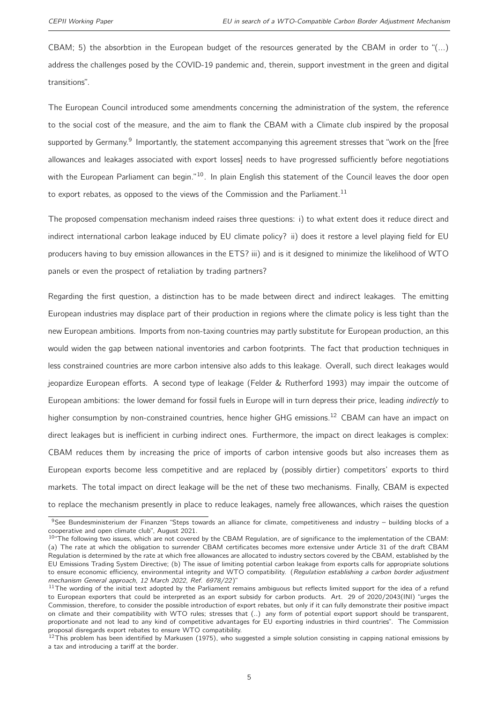CBAM; 5) the absorbtion in the European budget of the resources generated by the CBAM in order to "(...) address the challenges posed by the COVID-19 pandemic and, therein, support investment in the green and digital transitions".

The European Council introduced some amendments concerning the administration of the system, the reference to the social cost of the measure, and the aim to flank the CBAM with a Climate club inspired by the proposal supported by Germany.<sup>[9](#page-2-0)</sup> Importantly, the statement accompanying this agreement stresses that "work on the [free allowances and leakages associated with export losses] needs to have progressed sufficiently before negotiations with the European Parliament can begin."<sup>[10](#page-2-0)</sup>. In plain English this statement of the Council leaves the door open to export rebates, as opposed to the views of the Commission and the Parliament.<sup>[11](#page-2-0)</sup>

The proposed compensation mechanism indeed raises three questions: i) to what extent does it reduce direct and indirect international carbon leakage induced by EU climate policy? ii) does it restore a level playing field for EU producers having to buy emission allowances in the ETS? iii) and is it designed to minimize the likelihood of WTO panels or even the prospect of retaliation by trading partners?

Regarding the first question, a distinction has to be made between direct and indirect leakages. The emitting European industries may displace part of their production in regions where the climate policy is less tight than the new European ambitions. Imports from non-taxing countries may partly substitute for European production, an this would widen the gap between national inventories and carbon footprints. The fact that production techniques in less constrained countries are more carbon intensive also adds to this leakage. Overall, such direct leakages would jeopardize European efforts. A second type of leakage [\(Felder & Rutherford](#page-31-1) [1993\)](#page-31-1) may impair the outcome of European ambitions: the lower demand for fossil fuels in Europe will in turn depress their price, leading *indirectly* to higher consumption by non-constrained countries, hence higher GHG emissions.<sup>[12](#page-2-0)</sup> CBAM can have an impact on direct leakages but is inefficient in curbing indirect ones. Furthermore, the impact on direct leakages is complex: CBAM reduces them by increasing the price of imports of carbon intensive goods but also increases them as European exports become less competitive and are replaced by (possibly dirtier) competitors' exports to third markets. The total impact on direct leakage will be the net of these two mechanisms. Finally, CBAM is expected to replace the mechanism presently in place to reduce leakages, namely free allowances, which raises the question

<sup>&</sup>lt;sup>9</sup>See Bundesministerium der Finanzen "Steps towards an alliance for climate, competitiveness and industry – building blocks of a cooperative and open climate club", August 2021.

 $10^{\circ}$ The following two issues, which are not covered by the CBAM Regulation, are of significance to the implementation of the CBAM: (a) The rate at which the obligation to surrender CBAM certificates becomes more extensive under Article 31 of the draft CBAM Regulation is determined by the rate at which free allowances are allocated to industry sectors covered by the CBAM, established by the EU Emissions Trading System Directive; (b) The issue of limiting potential carbon leakage from exports calls for appropriate solutions to ensure economic efficiency, environmental integrity and WTO compatibility. (Regulation establishing a carbon border adjustment mechanism General approach, 12 March 2022, Ref. 6978/22)"

 $11$ The wording of the initial text adopted by the Parliament remains ambiguous but reflects limited support for the idea of a refund to European exporters that could be interpreted as an export subsidy for carbon products. Art. 29 of 2020/2043(INI) "urges the Commission, therefore, to consider the possible introduction of export rebates, but only if it can fully demonstrate their positive impact on climate and their compatibility with WTO rules; stresses that (..) any form of potential export support should be transparent, proportionate and not lead to any kind of competitive advantages for EU exporting industries in third countries". The Commission proposal disregards export rebates to ensure WTO compatibility.

 $12$ This problem has been identified by [Markusen](#page-32-1) [\(1975\)](#page-32-1), who suggested a simple solution consisting in capping national emissions by a tax and introducing a tariff at the border.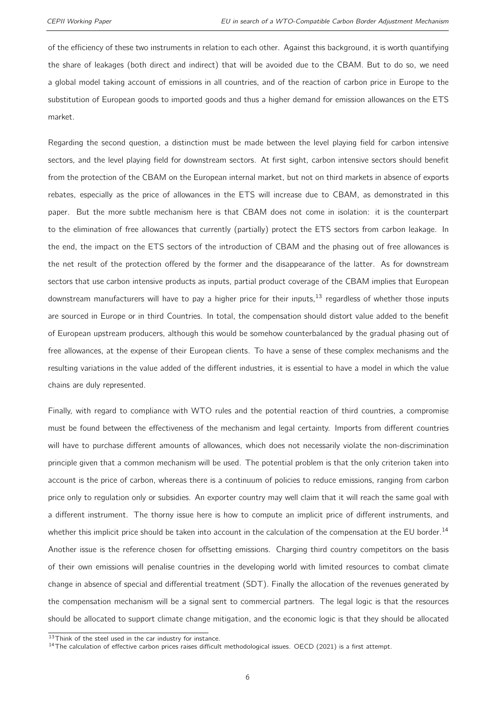of the efficiency of these two instruments in relation to each other. Against this background, it is worth quantifying the share of leakages (both direct and indirect) that will be avoided due to the CBAM. But to do so, we need a global model taking account of emissions in all countries, and of the reaction of carbon price in Europe to the substitution of European goods to imported goods and thus a higher demand for emission allowances on the ETS market.

Regarding the second question, a distinction must be made between the level playing field for carbon intensive sectors, and the level playing field for downstream sectors. At first sight, carbon intensive sectors should benefit from the protection of the CBAM on the European internal market, but not on third markets in absence of exports rebates, especially as the price of allowances in the ETS will increase due to CBAM, as demonstrated in this paper. But the more subtle mechanism here is that CBAM does not come in isolation: it is the counterpart to the elimination of free allowances that currently (partially) protect the ETS sectors from carbon leakage. In the end, the impact on the ETS sectors of the introduction of CBAM and the phasing out of free allowances is the net result of the protection offered by the former and the disappearance of the latter. As for downstream sectors that use carbon intensive products as inputs, partial product coverage of the CBAM implies that European downstream manufacturers will have to pay a higher price for their inputs, $13$  regardless of whether those inputs are sourced in Europe or in third Countries. In total, the compensation should distort value added to the benefit of European upstream producers, although this would be somehow counterbalanced by the gradual phasing out of free allowances, at the expense of their European clients. To have a sense of these complex mechanisms and the resulting variations in the value added of the different industries, it is essential to have a model in which the value chains are duly represented.

Finally, with regard to compliance with WTO rules and the potential reaction of third countries, a compromise must be found between the effectiveness of the mechanism and legal certainty. Imports from different countries will have to purchase different amounts of allowances, which does not necessarily violate the non-discrimination principle given that a common mechanism will be used. The potential problem is that the only criterion taken into account is the price of carbon, whereas there is a continuum of policies to reduce emissions, ranging from carbon price only to regulation only or subsidies. An exporter country may well claim that it will reach the same goal with a different instrument. The thorny issue here is how to compute an implicit price of different instruments, and whether this implicit price should be taken into account in the calculation of the compensation at the EU border.<sup>[14](#page-2-0)</sup> Another issue is the reference chosen for offsetting emissions. Charging third country competitors on the basis of their own emissions will penalise countries in the developing world with limited resources to combat climate change in absence of special and differential treatment (SDT). Finally the allocation of the revenues generated by the compensation mechanism will be a signal sent to commercial partners. The legal logic is that the resources should be allocated to support climate change mitigation, and the economic logic is that they should be allocated

<sup>13</sup>Think of the steel used in the car industry for instance.

 $14$ The calculation of effective carbon prices raises difficult methodological issues. [OECD](#page-33-1) [\(2021\)](#page-33-1) is a first attempt.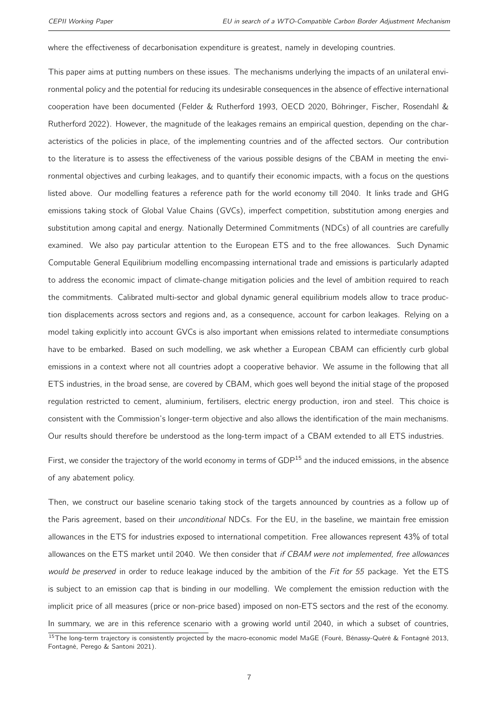where the effectiveness of decarbonisation expenditure is greatest, namely in developing countries.

This paper aims at putting numbers on these issues. The mechanisms underlying the impacts of an unilateral environmental policy and the potential for reducing its undesirable consequences in the absence of effective international cooperation have been documented [\(Felder & Rutherford](#page-31-1) [1993,](#page-31-1) [OECD](#page-33-2) [2020,](#page-33-2) [Böhringer, Fischer, Rosendahl &](#page-31-2) [Rutherford](#page-31-2) [2022\)](#page-31-2). However, the magnitude of the leakages remains an empirical question, depending on the characteristics of the policies in place, of the implementing countries and of the affected sectors. Our contribution to the literature is to assess the effectiveness of the various possible designs of the CBAM in meeting the environmental objectives and curbing leakages, and to quantify their economic impacts, with a focus on the questions listed above. Our modelling features a reference path for the world economy till 2040. It links trade and GHG emissions taking stock of Global Value Chains (GVCs), imperfect competition, substitution among energies and substitution among capital and energy. Nationally Determined Commitments (NDCs) of all countries are carefully examined. We also pay particular attention to the European ETS and to the free allowances. Such Dynamic Computable General Equilibrium modelling encompassing international trade and emissions is particularly adapted to address the economic impact of climate-change mitigation policies and the level of ambition required to reach the commitments. Calibrated multi-sector and global dynamic general equilibrium models allow to trace production displacements across sectors and regions and, as a consequence, account for carbon leakages. Relying on a model taking explicitly into account GVCs is also important when emissions related to intermediate consumptions have to be embarked. Based on such modelling, we ask whether a European CBAM can efficiently curb global emissions in a context where not all countries adopt a cooperative behavior. We assume in the following that all ETS industries, in the broad sense, are covered by CBAM, which goes well beyond the initial stage of the proposed regulation restricted to cement, aluminium, fertilisers, electric energy production, iron and steel. This choice is consistent with the Commission's longer-term objective and also allows the identification of the main mechanisms. Our results should therefore be understood as the long-term impact of a CBAM extended to all ETS industries.

First, we consider the trajectory of the world economy in terms of GDP<sup>[15](#page-2-0)</sup> and the induced emissions, in the absence of any abatement policy.

Then, we construct our baseline scenario taking stock of the targets announced by countries as a follow up of the Paris agreement, based on their *unconditional* NDCs. For the EU, in the baseline, we maintain free emission allowances in the ETS for industries exposed to international competition. Free allowances represent 43% of total allowances on the ETS market until 2040. We then consider that if CBAM were not implemented, free allowances would be preserved in order to reduce leakage induced by the ambition of the Fit for 55 package. Yet the ETS is subject to an emission cap that is binding in our modelling. We complement the emission reduction with the implicit price of all measures (price or non-price based) imposed on non-ETS sectors and the rest of the economy. In summary, we are in this reference scenario with a growing world until 2040, in which a subset of countries,

<sup>&</sup>lt;sup>15</sup>The long-term trajectory is consistently projected by the macro-economic model MaGE [\(Fouré, Bénassy-Quéré & Fontagné](#page-32-2) [2013,](#page-32-2) [Fontagné, Perego & Santoni](#page-32-3) [2021\)](#page-32-3).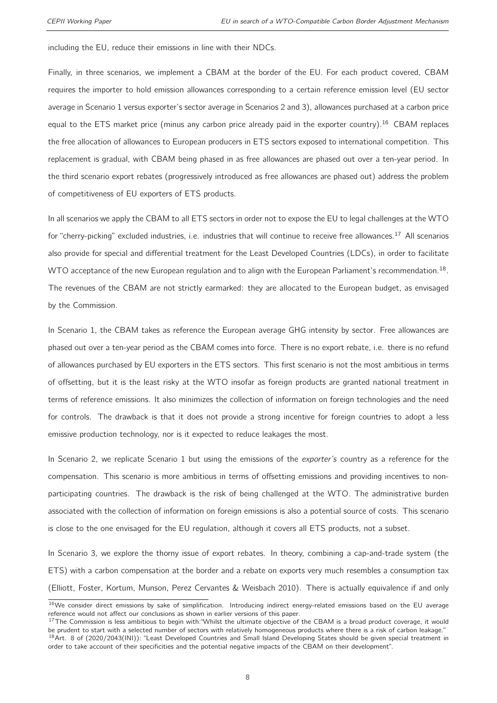including the EU, reduce their emissions in line with their NDCs.

Finally, in three scenarios, we implement a CBAM at the border of the EU. For each product covered, CBAM requires the importer to hold emission allowances corresponding to a certain reference emission level (EU sector average in Scenario 1 versus exporter's sector average in Scenarios 2 and 3), allowances purchased at a carbon price equal to the ETS market price (minus any carbon price already paid in the exporter country).<sup>[16](#page-2-0)</sup> CBAM replaces the free allocation of allowances to European producers in ETS sectors exposed to international competition. This replacement is gradual, with CBAM being phased in as free allowances are phased out over a ten-year period. In the third scenario export rebates (progressively introduced as free allowances are phased out) address the problem of competitiveness of EU exporters of ETS products.

In all scenarios we apply the CBAM to all ETS sectors in order not to expose the EU to legal challenges at the WTO for "cherry-picking" excluded industries, i.e. industries that will continue to receive free allowances.<sup>[17](#page-2-0)</sup> All scenarios also provide for special and differential treatment for the Least Developed Countries (LDCs), in order to facilitate WTO acceptance of the new European regulation and to align with the European Parliament's recommendation.  $^{18}$  $^{18}$  $^{18}$ . The revenues of the CBAM are not strictly earmarked: they are allocated to the European budget, as envisaged by the Commission.

In Scenario 1, the CBAM takes as reference the European average GHG intensity by sector. Free allowances are phased out over a ten-year period as the CBAM comes into force. There is no export rebate, i.e. there is no refund of allowances purchased by EU exporters in the ETS sectors. This first scenario is not the most ambitious in terms of offsetting, but it is the least risky at the WTO insofar as foreign products are granted national treatment in terms of reference emissions. It also minimizes the collection of information on foreign technologies and the need for controls. The drawback is that it does not provide a strong incentive for foreign countries to adopt a less emissive production technology, nor is it expected to reduce leakages the most.

In Scenario 2, we replicate Scenario 1 but using the emissions of the exporter's country as a reference for the compensation. This scenario is more ambitious in terms of offsetting emissions and providing incentives to nonparticipating countries. The drawback is the risk of being challenged at the WTO. The administrative burden associated with the collection of information on foreign emissions is also a potential source of costs. This scenario is close to the one envisaged for the EU regulation, although it covers all ETS products, not a subset.

In Scenario 3, we explore the thorny issue of export rebates. In theory, combining a cap-and-trade system (the ETS) with a carbon compensation at the border and a rebate on exports very much resembles a consumption tax [\(Elliott, Foster, Kortum, Munson, Perez Cervantes & Weisbach](#page-31-3) [2010\)](#page-31-3). There is actually equivalence if and only

 $16$ We consider direct emissions by sake of simplification. Introducing indirect energy-related emissions based on the EU average reference would not affect our conclusions as shown in earlier versions of this paper.

<sup>&</sup>lt;sup>17</sup>The Commission is less ambitious to begin with:"Whilst the ultimate objective of the CBAM is a broad product coverage, it would be prudent to start with a selected number of sectors with relatively homogeneous products where there is a risk of carbon leakage."  $18$ Art. 8 of (2020/2043(INI)): "Least Developed Countries and Small Island Developing States should be given special treatment in order to take account of their specificities and the potential negative impacts of the CBAM on their development".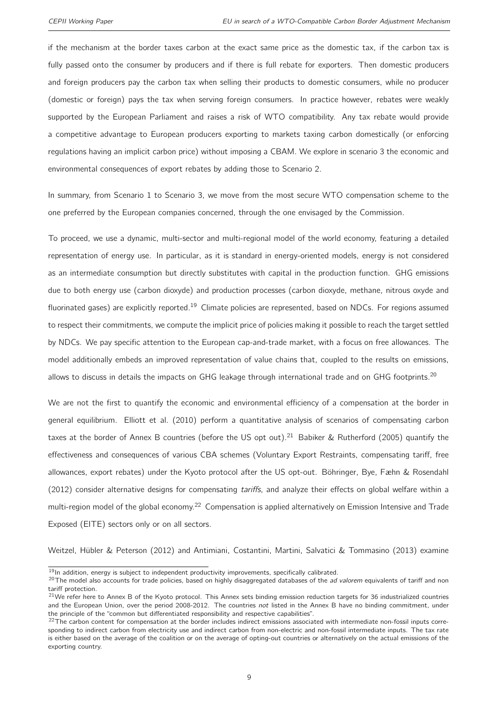if the mechanism at the border taxes carbon at the exact same price as the domestic tax, if the carbon tax is fully passed onto the consumer by producers and if there is full rebate for exporters. Then domestic producers and foreign producers pay the carbon tax when selling their products to domestic consumers, while no producer (domestic or foreign) pays the tax when serving foreign consumers. In practice however, rebates were weakly supported by the European Parliament and raises a risk of WTO compatibility. Any tax rebate would provide a competitive advantage to European producers exporting to markets taxing carbon domestically (or enforcing regulations having an implicit carbon price) without imposing a CBAM. We explore in scenario 3 the economic and environmental consequences of export rebates by adding those to Scenario 2.

In summary, from Scenario 1 to Scenario 3, we move from the most secure WTO compensation scheme to the one preferred by the European companies concerned, through the one envisaged by the Commission.

To proceed, we use a dynamic, multi-sector and multi-regional model of the world economy, featuring a detailed representation of energy use. In particular, as it is standard in energy-oriented models, energy is not considered as an intermediate consumption but directly substitutes with capital in the production function. GHG emissions due to both energy use (carbon dioxyde) and production processes (carbon dioxyde, methane, nitrous oxyde and fluorinated gases) are explicitly reported.<sup>[19](#page-2-0)</sup> Climate policies are represented, based on NDCs. For regions assumed to respect their commitments, we compute the implicit price of policies making it possible to reach the target settled by NDCs. We pay specific attention to the European cap-and-trade market, with a focus on free allowances. The model additionally embeds an improved representation of value chains that, coupled to the results on emissions, allows to discuss in details the impacts on GHG leakage through international trade and on GHG footprints.<sup>[20](#page-2-0)</sup>

We are not the first to quantify the economic and environmental efficiency of a compensation at the border in general equilibrium. [Elliott et al.](#page-31-3) [\(2010\)](#page-31-3) perform a quantitative analysis of scenarios of compensating carbon taxes at the border of Annex B countries (before the US opt out).<sup>[21](#page-2-0)</sup> [Babiker & Rutherford](#page-31-4) [\(2005\)](#page-31-4) quantify the effectiveness and consequences of various CBA schemes (Voluntary Export Restraints, compensating tariff, free allowances, export rebates) under the Kyoto protocol after the US opt-out. [Böhringer, Bye, Fæhn & Rosendahl](#page-31-5) [\(2012\)](#page-31-5) consider alternative designs for compensating tariffs, and analyze their effects on global welfare within a multi-region model of the global economy.<sup>[22](#page-2-0)</sup> Compensation is applied alternatively on Emission Intensive and Trade Exposed (EITE) sectors only or on all sectors.

[Weitzel, Hübler & Peterson](#page-33-3) [\(2012\)](#page-33-3) and [Antimiani, Costantini, Martini, Salvatici & Tommasino](#page-31-6) [\(2013\)](#page-31-6) examine

<sup>&</sup>lt;sup>19</sup>In addition, energy is subject to independent productivity improvements, specifically calibrated.

<sup>&</sup>lt;sup>20</sup>The model also accounts for trade policies, based on highly disaggregated databases of the ad valorem equivalents of tariff and non tariff protection.

 $21$ We refer here to Annex B of the Kyoto protocol. This Annex sets binding emission reduction targets for 36 industrialized countries and the European Union, over the period 2008-2012. The countries not listed in the Annex B have no binding commitment, under the principle of the "common but differentiated responsibility and respective capabilities".

 $^{22}$ The carbon content for compensation at the border includes indirect emissions associated with intermediate non-fossil inputs corresponding to indirect carbon from electricity use and indirect carbon from non-electric and non-fossil intermediate inputs. The tax rate is either based on the average of the coalition or on the average of opting-out countries or alternatively on the actual emissions of the exporting country.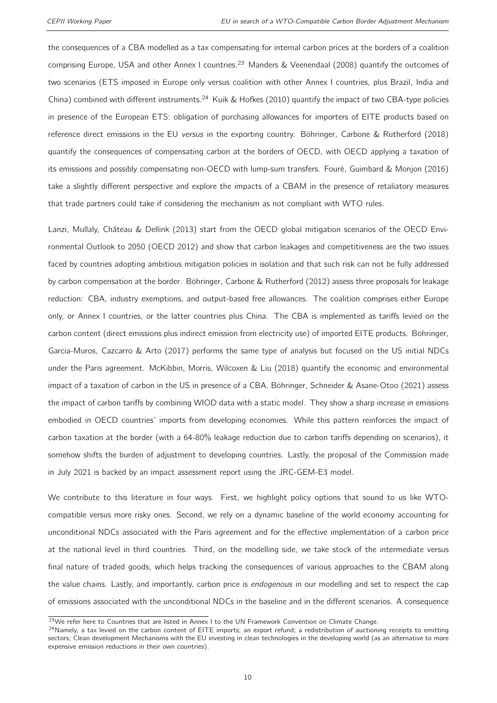the consequences of a CBA modelled as a tax compensating for internal carbon prices at the borders of a coalition comprising Europe, USA and other Annex I countries.<sup>[23](#page-2-0)</sup> [Manders & Veenendaal](#page-32-4) [\(2008\)](#page-32-4) quantify the outcomes of two scenarios (ETS imposed in Europe only versus coalition with other Annex I countries, plus Brazil, India and China) combined with different instruments.<sup>[24](#page-2-0)</sup> [Kuik & Hofkes](#page-32-5) [\(2010\)](#page-32-5) quantify the impact of two CBA-type policies in presence of the European ETS: obligation of purchasing allowances for importers of EITE products based on reference direct emissions in the EU versus in the exporting country. [Böhringer, Carbone & Rutherford](#page-31-7) [\(2018\)](#page-31-7) quantify the consequences of compensating carbon at the borders of OECD, with OECD applying a taxation of its emissions and possibly compensating non-OECD with lump-sum transfers. [Fouré, Guimbard & Monjon](#page-32-6) [\(2016\)](#page-32-6) take a slightly different perspective and explore the impacts of a CBAM in the presence of retaliatory measures that trade partners could take if considering the mechanism as not compliant with WTO rules.

[Lanzi, Mullaly, Château & Dellink](#page-32-7) [\(2013\)](#page-32-7) start from the OECD global mitigation scenarios of the OECD Environmental Outlook to 2050 [\(OECD](#page-32-8) [2012\)](#page-32-8) and show that carbon leakages and competitiveness are the two issues faced by countries adopting ambitious mitigation policies in isolation and that such risk can not be fully addressed by carbon compensation at the border. [Böhringer, Carbone & Rutherford](#page-31-0) [\(2012\)](#page-31-0) assess three proposals for leakage reduction: CBA, industry exemptions, and output-based free allowances. The coalition comprises either Europe only, or Annex I countries, or the latter countries plus China. The CBA is implemented as tariffs levied on the carbon content (direct emissions plus indirect emission from electricity use) of imported EITE products. [Böhringer,](#page-31-8) [Garcia-Muros, Cazcarro & Arto](#page-31-8) [\(2017\)](#page-31-8) performs the same type of analysis but focused on the US initial NDCs under the Paris agreement. [McKibbin, Morris, Wilcoxen & Liu](#page-32-9) [\(2018\)](#page-32-9) quantify the economic and environmental impact of a taxation of carbon in the US in presence of a CBA. [Böhringer, Schneider & Asane-Otoo](#page-31-9) [\(2021\)](#page-31-9) assess the impact of carbon tariffs by combining WIOD data with a static model. They show a sharp increase in emissions embodied in OECD countries' imports from developing economies. While this pattern reinforces the impact of carbon taxation at the border (with a 64-80% leakage reduction due to carbon tariffs depending on scenarios), it somehow shifts the burden of adjustment to developing countries. Lastly, the proposal of the Commission made in July 2021 is backed by an impact assessment report using the JRC-GEM-E3 model.

We contribute to this literature in four ways. First, we highlight policy options that sound to us like WTOcompatible versus more risky ones. Second, we rely on a dynamic baseline of the world economy accounting for unconditional NDCs associated with the Paris agreement and for the effective implementation of a carbon price at the national level in third countries. Third, on the modelling side, we take stock of the intermediate versus final nature of traded goods, which helps tracking the consequences of various approaches to the CBAM along the value chains. Lastly, and importantly, carbon price is *endogenous* in our modelling and set to respect the cap of emissions associated with the unconditional NDCs in the baseline and in the different scenarios. A consequence

<sup>&</sup>lt;sup>23</sup>We refer here to Countries that are listed in Annex I to the UN Framework Convention on Climate Change.

 $24$ Namely, a tax levied on the carbon content of EITE imports; an export refund; a redistribution of auctioning receipts to emitting sectors; Clean development Mechanisms with the EU investing in clean technologies in the developing world (as an alternative to more expensive emission reductions in their own countries).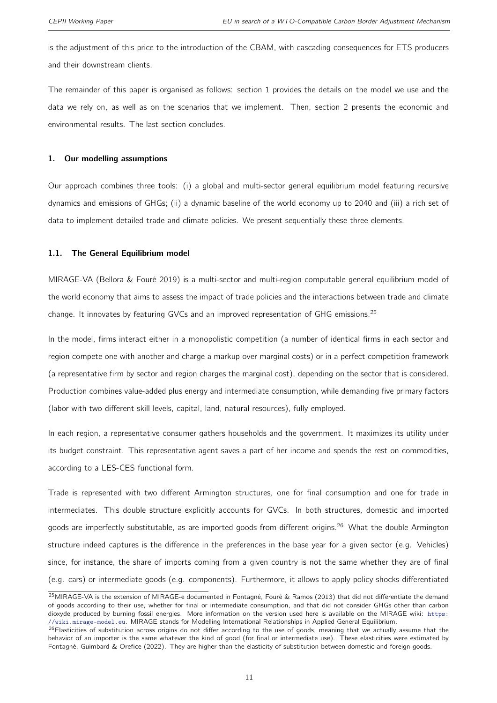is the adjustment of this price to the introduction of the CBAM, with cascading consequences for ETS producers and their downstream clients.

The remainder of this paper is organised as follows: section [1](#page-10-0) provides the details on the model we use and the data we rely on, as well as on the scenarios that we implement. Then, section [2](#page-19-0) presents the economic and environmental results. The last section concludes.

#### <span id="page-10-0"></span>1. Our modelling assumptions

Our approach combines three tools: (i) a global and multi-sector general equilibrium model featuring recursive dynamics and emissions of GHGs; (ii) a dynamic baseline of the world economy up to 2040 and (iii) a rich set of data to implement detailed trade and climate policies. We present sequentially these three elements.

#### 1.1. The General Equilibrium model

MIRAGE-VA [\(Bellora & Fouré](#page-31-10) [2019\)](#page-31-10) is a multi-sector and multi-region computable general equilibrium model of the world economy that aims to assess the impact of trade policies and the interactions between trade and climate change. It innovates by featuring GVCs and an improved representation of GHG emissions.<sup>[25](#page-2-0)</sup>

In the model, firms interact either in a monopolistic competition (a number of identical firms in each sector and region compete one with another and charge a markup over marginal costs) or in a perfect competition framework (a representative firm by sector and region charges the marginal cost), depending on the sector that is considered. Production combines value-added plus energy and intermediate consumption, while demanding five primary factors (labor with two different skill levels, capital, land, natural resources), fully employed.

In each region, a representative consumer gathers households and the government. It maximizes its utility under its budget constraint. This representative agent saves a part of her income and spends the rest on commodities, according to a LES-CES functional form.

Trade is represented with two different Armington structures, one for final consumption and one for trade in intermediates. This double structure explicitly accounts for GVCs. In both structures, domestic and imported goods are imperfectly substitutable, as are imported goods from different origins.<sup>[26](#page-2-0)</sup> What the double Armington structure indeed captures is the difference in the preferences in the base year for a given sector (e.g. Vehicles) since, for instance, the share of imports coming from a given country is not the same whether they are of final (e.g. cars) or intermediate goods (e.g. components). Furthermore, it allows to apply policy shocks differentiated

<sup>&</sup>lt;sup>25</sup>MIRAGE-VA is the extension of MIRAGE-e documented in [Fontagné, Fouré & Ramos](#page-31-11) [\(2013\)](#page-31-11) that did not differentiate the demand of goods according to their use, whether for final or intermediate consumption, and that did not consider GHGs other than carbon dioxyde produced by burning fossil energies. More information on the version used here is available on the MIRAGE wiki: [https:](https://wiki.mirage-model.eu) [//wiki.mirage-model.eu](https://wiki.mirage-model.eu). MIRAGE stands for Modelling International Relationships in Applied General Equilibrium.

<sup>26</sup>Elasticities of substitution across origins do not differ according to the use of goods, meaning that we actually assume that the behavior of an importer is the same whatever the kind of good (for final or intermediate use). These elasticities were estimated by [Fontagné, Guimbard & Orefice](#page-32-10) [\(2022\)](#page-32-10). They are higher than the elasticity of substitution between domestic and foreign goods.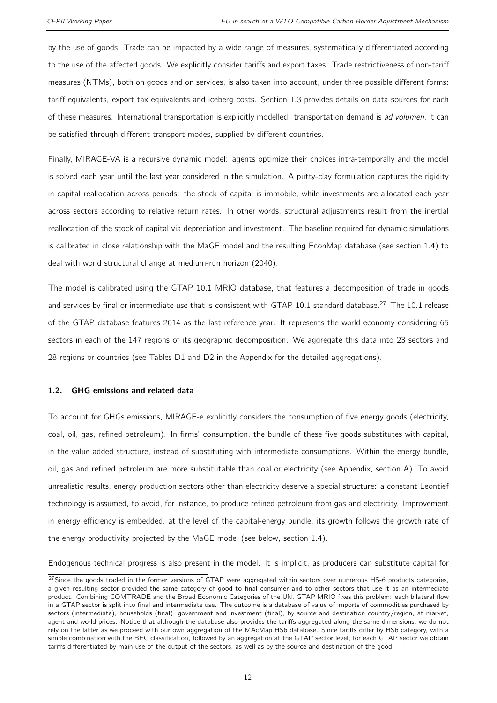by the use of goods. Trade can be impacted by a wide range of measures, systematically differentiated according to the use of the affected goods. We explicitly consider tariffs and export taxes. Trade restrictiveness of non-tariff measures (NTMs), both on goods and on services, is also taken into account, under three possible different forms: tariff equivalents, export tax equivalents and iceberg costs. Section [1.3](#page-14-0) provides details on data sources for each of these measures. International transportation is explicitly modelled: transportation demand is ad volumen, it can be satisfied through different transport modes, supplied by different countries.

Finally, MIRAGE-VA is a recursive dynamic model: agents optimize their choices intra-temporally and the model is solved each year until the last year considered in the simulation. A putty-clay formulation captures the rigidity in capital reallocation across periods: the stock of capital is immobile, while investments are allocated each year across sectors according to relative return rates. In other words, structural adjustments result from the inertial reallocation of the stock of capital via depreciation and investment. The baseline required for dynamic simulations is calibrated in close relationship with the MaGE model and the resulting EconMap database (see section [1.4\)](#page-14-1) to deal with world structural change at medium-run horizon (2040).

The model is calibrated using the GTAP 10.1 MRIO database, that features a decomposition of trade in goods and services by final or intermediate use that is consistent with GTAP 10.1 standard database.<sup>[27](#page-2-0)</sup> The 10.1 release of the GTAP database features 2014 as the last reference year. It represents the world economy considering 65 sectors in each of the 147 regions of its geographic decomposition. We aggregate this data into 23 sectors and 28 regions or countries (see Tables [D1](#page-36-0) and [D2](#page-36-1) in the Appendix for the detailed aggregations).

#### <span id="page-11-0"></span>1.2. GHG emissions and related data

To account for GHGs emissions, MIRAGE-e explicitly considers the consumption of five energy goods (electricity, coal, oil, gas, refined petroleum). In firms' consumption, the bundle of these five goods substitutes with capital, in the value added structure, instead of substituting with intermediate consumptions. Within the energy bundle, oil, gas and refined petroleum are more substitutable than coal or electricity (see Appendix, section [A\)](#page-34-0). To avoid unrealistic results, energy production sectors other than electricity deserve a special structure: a constant Leontief technology is assumed, to avoid, for instance, to produce refined petroleum from gas and electricity. Improvement in energy efficiency is embedded, at the level of the capital-energy bundle, its growth follows the growth rate of the energy productivity projected by the MaGE model (see below, section [1.4\)](#page-14-1).

Endogenous technical progress is also present in the model. It is implicit, as producers can substitute capital for

 $27$ Since the goods traded in the former versions of GTAP were aggregated within sectors over numerous HS-6 products categories, a given resulting sector provided the same category of good to final consumer and to other sectors that use it as an intermediate product. Combining COMTRADE and the Broad Economic Categories of the UN, GTAP MRIO fixes this problem: each bilateral flow in a GTAP sector is split into final and intermediate use. The outcome is a database of value of imports of commodities purchased by sectors (intermediate), households (final), government and investment (final), by source and destination country/region, at market, agent and world prices. Notice that although the database also provides the tariffs aggregated along the same dimensions, we do not rely on the latter as we proceed with our own aggregation of the MAcMap HS6 database. Since tariffs differ by HS6 category, with a simple combination with the BEC classification, followed by an aggregation at the GTAP sector level, for each GTAP sector we obtain tariffs differentiated by main use of the output of the sectors, as well as by the source and destination of the good.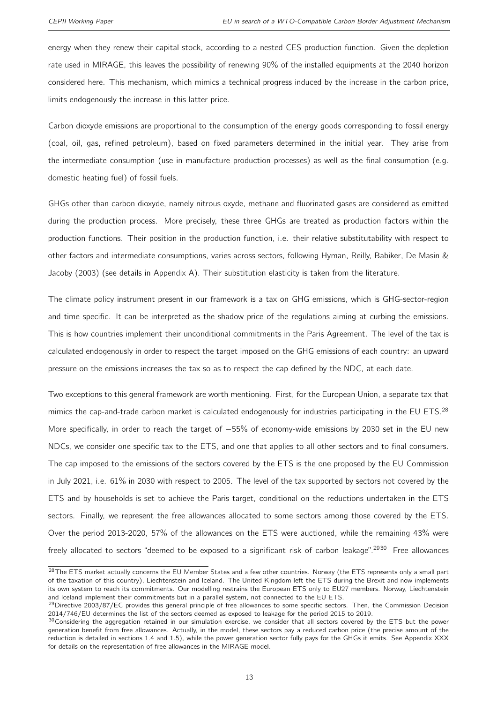energy when they renew their capital stock, according to a nested CES production function. Given the depletion rate used in MIRAGE, this leaves the possibility of renewing 90% of the installed equipments at the 2040 horizon considered here. This mechanism, which mimics a technical progress induced by the increase in the carbon price, limits endogenously the increase in this latter price.

Carbon dioxyde emissions are proportional to the consumption of the energy goods corresponding to fossil energy (coal, oil, gas, refined petroleum), based on fixed parameters determined in the initial year. They arise from the intermediate consumption (use in manufacture production processes) as well as the final consumption (e.g. domestic heating fuel) of fossil fuels.

GHGs other than carbon dioxyde, namely nitrous oxyde, methane and fluorinated gases are considered as emitted during the production process. More precisely, these three GHGs are treated as production factors within the production functions. Their position in the production function, i.e. their relative substitutability with respect to other factors and intermediate consumptions, varies across sectors, following [Hyman, Reilly, Babiker, De Masin &](#page-32-11) [Jacoby](#page-32-11) [\(2003\)](#page-32-11) (see details in Appendix [A\)](#page-34-0). Their substitution elasticity is taken from the literature.

The climate policy instrument present in our framework is a tax on GHG emissions, which is GHG-sector-region and time specific. It can be interpreted as the shadow price of the regulations aiming at curbing the emissions. This is how countries implement their unconditional commitments in the Paris Agreement. The level of the tax is calculated endogenously in order to respect the target imposed on the GHG emissions of each country: an upward pressure on the emissions increases the tax so as to respect the cap defined by the NDC, at each date.

Two exceptions to this general framework are worth mentioning. First, for the European Union, a separate tax that mimics the cap-and-trade carbon market is calculated endogenously for industries participating in the EU ETS.<sup>[28](#page-2-0)</sup> More specifically, in order to reach the target of −55% of economy-wide emissions by 2030 set in the EU new NDCs, we consider one specific tax to the ETS, and one that applies to all other sectors and to final consumers. The cap imposed to the emissions of the sectors covered by the ETS is the one proposed by the EU Commission in July 2021, i.e. 61% in 2030 with respect to 2005. The level of the tax supported by sectors not covered by the ETS and by households is set to achieve the Paris target, conditional on the reductions undertaken in the ETS sectors. Finally, we represent the free allowances allocated to some sectors among those covered by the ETS. Over the period 2013-2020, 57% of the allowances on the ETS were auctioned, while the remaining 43% were freely allocated to sectors "deemed to be exposed to a significant risk of carbon leakage".<sup>[2930](#page-2-0)</sup> Free allowances

 $28$ The ETS market actually concerns the EU Member States and a few other countries. Norway (the ETS represents only a small part of the taxation of this country), Liechtenstein and Iceland. The United Kingdom left the ETS during the Brexit and now implements its own system to reach its commitments. Our modelling restrains the European ETS only to EU27 members. Norway, Liechtenstein and Iceland implement their commitments but in a parallel system, not connected to the EU ETS.

<sup>&</sup>lt;sup>29</sup>Directive 2003/87/EC provides this general principle of free allowances to some specific sectors. Then, the Commission Decision 2014/746/EU determines the list of the sectors deemed as exposed to leakage for the period 2015 to 2019.

 $30$ Considering the aggregation retained in our simulation exercise, we consider that all sectors covered by the ETS but the power generation benefit from free allowances. Actually, in the model, these sectors pay a reduced carbon price (the precise amount of the reduction is detailed in sections [1.4](#page-14-1) and [1.5\)](#page-15-0), while the power generation sector fully pays for the GHGs it emits. See Appendix XXX for details on the representation of free allowances in the MIRAGE model.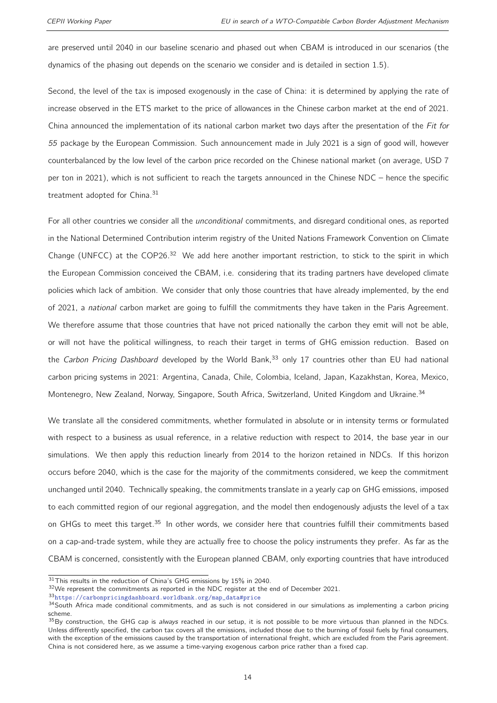are preserved until 2040 in our baseline scenario and phased out when CBAM is introduced in our scenarios (the dynamics of the phasing out depends on the scenario we consider and is detailed in section [1.5\)](#page-15-0).

Second, the level of the tax is imposed exogenously in the case of China: it is determined by applying the rate of increase observed in the ETS market to the price of allowances in the Chinese carbon market at the end of 2021. China announced the implementation of its national carbon market two days after the presentation of the Fit for 55 package by the European Commission. Such announcement made in July 2021 is a sign of good will, however counterbalanced by the low level of the carbon price recorded on the Chinese national market (on average, USD 7 per ton in 2021), which is not sufficient to reach the targets announced in the Chinese NDC – hence the specific treatment adopted for China.<sup>[31](#page-2-0)</sup>

For all other countries we consider all the *unconditional* commitments, and disregard conditional ones, as reported in the National Determined Contribution interim registry of the United Nations Framework Convention on Climate Change (UNFCC) at the COP26.<sup>[32](#page-2-0)</sup> We add here another important restriction, to stick to the spirit in which the European Commission conceived the CBAM, i.e. considering that its trading partners have developed climate policies which lack of ambition. We consider that only those countries that have already implemented, by the end of 2021, a national carbon market are going to fulfill the commitments they have taken in the Paris Agreement. We therefore assume that those countries that have not priced nationally the carbon they emit will not be able, or will not have the political willingness, to reach their target in terms of GHG emission reduction. Based on the Carbon Pricing Dashboard developed by the World Bank,<sup>[33](#page-2-0)</sup> only 17 countries other than EU had national carbon pricing systems in 2021: Argentina, Canada, Chile, Colombia, Iceland, Japan, Kazakhstan, Korea, Mexico, Montenegro, New Zealand, Norway, Singapore, South Africa, Switzerland, United Kingdom and Ukraine.<sup>[34](#page-2-0)</sup>

We translate all the considered commitments, whether formulated in absolute or in intensity terms or formulated with respect to a business as usual reference, in a relative reduction with respect to 2014, the base year in our simulations. We then apply this reduction linearly from 2014 to the horizon retained in NDCs. If this horizon occurs before 2040, which is the case for the majority of the commitments considered, we keep the commitment unchanged until 2040. Technically speaking, the commitments translate in a yearly cap on GHG emissions, imposed to each committed region of our regional aggregation, and the model then endogenously adjusts the level of a tax on GHGs to meet this target.<sup>[35](#page-2-0)</sup> In other words, we consider here that countries fulfill their commitments based on a cap-and-trade system, while they are actually free to choose the policy instruments they prefer. As far as the CBAM is concerned, consistently with the European planned CBAM, only exporting countries that have introduced

 $31$ This results in the reduction of China's GHG emissions by 15% in 2040.

<sup>32</sup>We represent the commitments as reported in the NDC register at the end of December 2021.

<sup>33</sup>[https://carbonpricingdashboard.worldbank.org/map\\_data#price](https://carbonpricingdashboard.worldbank.org/map_data#price)

<sup>34</sup> South Africa made conditional commitments, and as such is not considered in our simulations as implementing a carbon pricing scheme.

 $35$ By construction, the GHG cap is always reached in our setup, it is not possible to be more virtuous than planned in the NDCs. Unless differently specified, the carbon tax covers all the emissions, included those due to the burning of fossil fuels by final consumers, with the exception of the emissions caused by the transportation of international freight, which are excluded from the Paris agreement. China is not considered here, as we assume a time-varying exogenous carbon price rather than a fixed cap.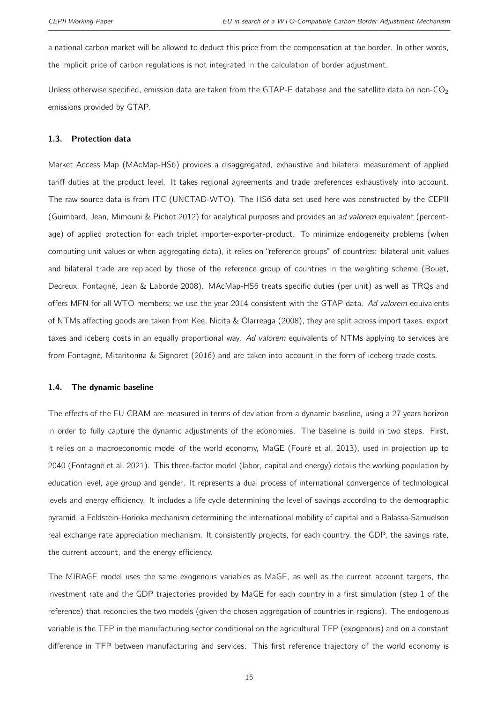a national carbon market will be allowed to deduct this price from the compensation at the border. In other words, the implicit price of carbon regulations is not integrated in the calculation of border adjustment.

Unless otherwise specified, emission data are taken from the GTAP-E database and the satellite data on non-CO<sub>2</sub> emissions provided by GTAP.

#### <span id="page-14-0"></span>1.3. Protection data

Market Access Map (MAcMap-HS6) provides a disaggregated, exhaustive and bilateral measurement of applied tariff duties at the product level. It takes regional agreements and trade preferences exhaustively into account. The raw source data is from ITC (UNCTAD-WTO). The HS6 data set used here was constructed by the CEPII [\(Guimbard, Jean, Mimouni & Pichot](#page-32-12) [2012\)](#page-32-12) for analytical purposes and provides an ad valorem equivalent (percentage) of applied protection for each triplet importer-exporter-product. To minimize endogeneity problems (when computing unit values or when aggregating data), it relies on "reference groups" of countries: bilateral unit values and bilateral trade are replaced by those of the reference group of countries in the weighting scheme [\(Bouet,](#page-31-12) [Decreux, Fontagné, Jean & Laborde](#page-31-12) [2008\)](#page-31-12). MAcMap-HS6 treats specific duties (per unit) as well as TRQs and offers MFN for all WTO members; we use the year 2014 consistent with the GTAP data. Ad valorem equivalents of NTMs affecting goods are taken from [Kee, Nicita & Olarreaga](#page-32-13) [\(2008\)](#page-32-13), they are split across import taxes, export taxes and iceberg costs in an equally proportional way. Ad valorem equivalents of NTMs applying to services are from [Fontagné, Mitaritonna & Signoret](#page-32-14) [\(2016\)](#page-32-14) and are taken into account in the form of iceberg trade costs.

#### <span id="page-14-1"></span>1.4. The dynamic baseline

The effects of the EU CBAM are measured in terms of deviation from a dynamic baseline, using a 27 years horizon in order to fully capture the dynamic adjustments of the economies. The baseline is build in two steps. First, it relies on a macroeconomic model of the world economy, MaGE [\(Fouré et al.](#page-32-2) [2013\)](#page-32-2), used in projection up to 2040 [\(Fontagné et al.](#page-32-3) [2021\)](#page-32-3). This three-factor model (labor, capital and energy) details the working population by education level, age group and gender. It represents a dual process of international convergence of technological levels and energy efficiency. It includes a life cycle determining the level of savings according to the demographic pyramid, a Feldstein-Horioka mechanism determining the international mobility of capital and a Balassa-Samuelson real exchange rate appreciation mechanism. It consistently projects, for each country, the GDP, the savings rate, the current account, and the energy efficiency.

The MIRAGE model uses the same exogenous variables as MaGE, as well as the current account targets, the investment rate and the GDP trajectories provided by MaGE for each country in a first simulation (step 1 of the reference) that reconciles the two models (given the chosen aggregation of countries in regions). The endogenous variable is the TFP in the manufacturing sector conditional on the agricultural TFP (exogenous) and on a constant difference in TFP between manufacturing and services. This first reference trajectory of the world economy is

15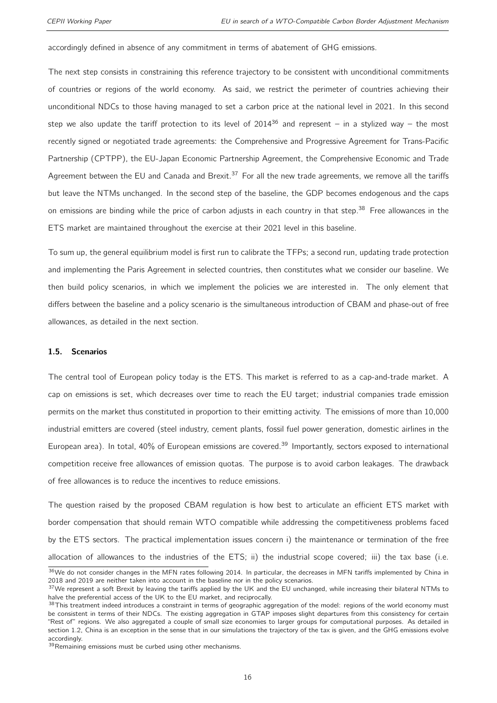accordingly defined in absence of any commitment in terms of abatement of GHG emissions.

The next step consists in constraining this reference trajectory to be consistent with unconditional commitments of countries or regions of the world economy. As said, we restrict the perimeter of countries achieving their unconditional NDCs to those having managed to set a carbon price at the national level in 2021. In this second step we also update the tariff protection to its level of  $2014^{36}$  $2014^{36}$  $2014^{36}$  and represent – in a stylized way – the most recently signed or negotiated trade agreements: the Comprehensive and Progressive Agreement for Trans-Pacific Partnership (CPTPP), the EU-Japan Economic Partnership Agreement, the Comprehensive Economic and Trade Agreement between the EU and Canada and Brexit.<sup>[37](#page-2-0)</sup> For all the new trade agreements, we remove all the tariffs but leave the NTMs unchanged. In the second step of the baseline, the GDP becomes endogenous and the caps on emissions are binding while the price of carbon adjusts in each country in that step.<sup>[38](#page-2-0)</sup> Free allowances in the ETS market are maintained throughout the exercise at their 2021 level in this baseline.

To sum up, the general equilibrium model is first run to calibrate the TFPs; a second run, updating trade protection and implementing the Paris Agreement in selected countries, then constitutes what we consider our baseline. We then build policy scenarios, in which we implement the policies we are interested in. The only element that differs between the baseline and a policy scenario is the simultaneous introduction of CBAM and phase-out of free allowances, as detailed in the next section.

#### <span id="page-15-0"></span>1.5. Scenarios

The central tool of European policy today is the ETS. This market is referred to as a cap-and-trade market. A cap on emissions is set, which decreases over time to reach the EU target; industrial companies trade emission permits on the market thus constituted in proportion to their emitting activity. The emissions of more than 10,000 industrial emitters are covered (steel industry, cement plants, fossil fuel power generation, domestic airlines in the European area). In total, 40% of European emissions are covered.<sup>[39](#page-2-0)</sup> Importantly, sectors exposed to international competition receive free allowances of emission quotas. The purpose is to avoid carbon leakages. The drawback of free allowances is to reduce the incentives to reduce emissions.

The question raised by the proposed CBAM regulation is how best to articulate an efficient ETS market with border compensation that should remain WTO compatible while addressing the competitiveness problems faced by the ETS sectors. The practical implementation issues concern i) the maintenance or termination of the free allocation of allowances to the industries of the ETS; ii) the industrial scope covered; iii) the tax base (i.e.

<sup>&</sup>lt;sup>36</sup>We do not consider changes in the MFN rates following 2014. In particular, the decreases in MFN tariffs implemented by China in 2018 and 2019 are neither taken into account in the baseline nor in the policy scenarios.

 $37$ We represent a soft Brexit by leaving the tariffs applied by the UK and the EU unchanged, while increasing their bilateral NTMs to halve the preferential access of the UK to the EU market, and reciprocally.

<sup>38</sup>This treatment indeed introduces a constraint in terms of geographic aggregation of the model: regions of the world economy must be consistent in terms of their NDCs. The existing aggregation in GTAP imposes slight departures from this consistency for certain "Rest of" regions. We also aggregated a couple of small size economies to larger groups for computational purposes. As detailed in section [1.2,](#page-11-0) China is an exception in the sense that in our simulations the trajectory of the tax is given, and the GHG emissions evolve accordingly.

<sup>&</sup>lt;sup>39</sup>Remaining emissions must be curbed using other mechanisms.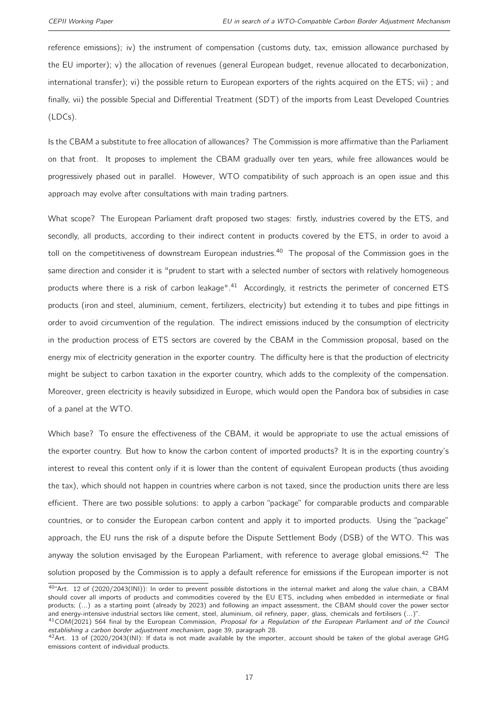reference emissions); iv) the instrument of compensation (customs duty, tax, emission allowance purchased by the EU importer); v) the allocation of revenues (general European budget, revenue allocated to decarbonization, international transfer); vi) the possible return to European exporters of the rights acquired on the ETS; vii) ; and finally, vii) the possible Special and Differential Treatment (SDT) of the imports from Least Developed Countries (LDCs).

Is the CBAM a substitute to free allocation of allowances? The Commission is more affirmative than the Parliament on that front. It proposes to implement the CBAM gradually over ten years, while free allowances would be progressively phased out in parallel. However, WTO compatibility of such approach is an open issue and this approach may evolve after consultations with main trading partners.

What scope? The European Parliament draft proposed two stages: firstly, industries covered by the ETS, and secondly, all products, according to their indirect content in products covered by the ETS, in order to avoid a toll on the competitiveness of downstream European industries.<sup>[40](#page-2-0)</sup> The proposal of the Commission goes in the same direction and consider it is "prudent to start with a selected number of sectors with relatively homogeneous products where there is a risk of carbon leakage".<sup>[41](#page-2-0)</sup> Accordingly, it restricts the perimeter of concerned ETS products (iron and steel, aluminium, cement, fertilizers, electricity) but extending it to tubes and pipe fittings in order to avoid circumvention of the regulation. The indirect emissions induced by the consumption of electricity in the production process of ETS sectors are covered by the CBAM in the Commission proposal, based on the energy mix of electricity generation in the exporter country. The difficulty here is that the production of electricity might be subject to carbon taxation in the exporter country, which adds to the complexity of the compensation. Moreover, green electricity is heavily subsidized in Europe, which would open the Pandora box of subsidies in case of a panel at the WTO.

Which base? To ensure the effectiveness of the CBAM, it would be appropriate to use the actual emissions of the exporter country. But how to know the carbon content of imported products? It is in the exporting country's interest to reveal this content only if it is lower than the content of equivalent European products (thus avoiding the tax), which should not happen in countries where carbon is not taxed, since the production units there are less efficient. There are two possible solutions: to apply a carbon "package" for comparable products and comparable countries, or to consider the European carbon content and apply it to imported products. Using the "package" approach, the EU runs the risk of a dispute before the Dispute Settlement Body (DSB) of the WTO. This was anyway the solution envisaged by the European Parliament, with reference to average global emissions.<sup>[42](#page-2-0)</sup> The solution proposed by the Commission is to apply a default reference for emissions if the European importer is not

<sup>40&</sup>quot;Art. 12 of (2020/2043(INI)): In order to prevent possible distortions in the internal market and along the value chain, a CBAM should cover all imports of products and commodities covered by the EU ETS, including when embedded in intermediate or final products; (...) as a starting point (already by 2023) and following an impact assessment, the CBAM should cover the power sector and energy-intensive industrial sectors like cement, steel, aluminium, oil refinery, paper, glass, chemicals and fertilisers (...)".

<sup>41</sup>COM(2021) 564 final by the European Commission, Proposal for a Regulation of the European Parliament and of the Council establishing a carbon border adjustment mechanism, page 39, paragraph 28.

 $42$ Art. 13 of (2020/2043(INI): If data is not made available by the importer, account should be taken of the global average GHG emissions content of individual products.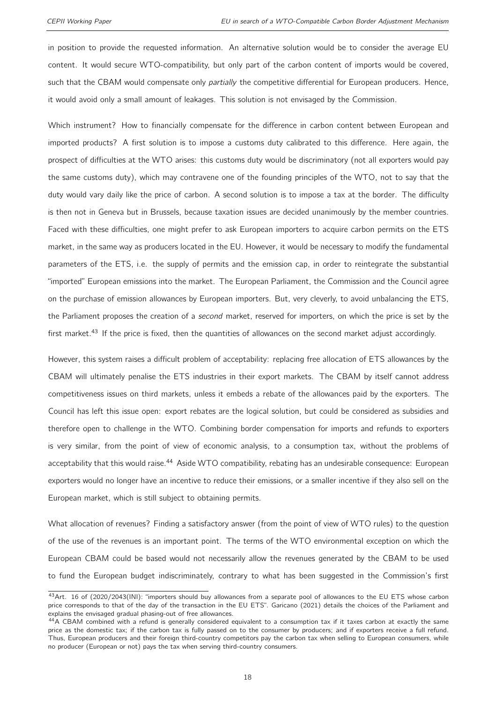in position to provide the requested information. An alternative solution would be to consider the average EU content. It would secure WTO-compatibility, but only part of the carbon content of imports would be covered, such that the CBAM would compensate only *partially* the competitive differential for European producers. Hence, it would avoid only a small amount of leakages. This solution is not envisaged by the Commission.

Which instrument? How to financially compensate for the difference in carbon content between European and imported products? A first solution is to impose a customs duty calibrated to this difference. Here again, the prospect of difficulties at the WTO arises: this customs duty would be discriminatory (not all exporters would pay the same customs duty), which may contravene one of the founding principles of the WTO, not to say that the duty would vary daily like the price of carbon. A second solution is to impose a tax at the border. The difficulty is then not in Geneva but in Brussels, because taxation issues are decided unanimously by the member countries. Faced with these difficulties, one might prefer to ask European importers to acquire carbon permits on the ETS market, in the same way as producers located in the EU. However, it would be necessary to modify the fundamental parameters of the ETS, i.e. the supply of permits and the emission cap, in order to reintegrate the substantial "imported" European emissions into the market. The European Parliament, the Commission and the Council agree on the purchase of emission allowances by European importers. But, very cleverly, to avoid unbalancing the ETS, the Parliament proposes the creation of a second market, reserved for importers, on which the price is set by the first market.<sup>[43](#page-2-0)</sup> If the price is fixed, then the quantities of allowances on the second market adjust accordingly.

However, this system raises a difficult problem of acceptability: replacing free allocation of ETS allowances by the CBAM will ultimately penalise the ETS industries in their export markets. The CBAM by itself cannot address competitiveness issues on third markets, unless it embeds a rebate of the allowances paid by the exporters. The Council has left this issue open: export rebates are the logical solution, but could be considered as subsidies and therefore open to challenge in the WTO. Combining border compensation for imports and refunds to exporters is very similar, from the point of view of economic analysis, to a consumption tax, without the problems of acceptability that this would raise.<sup>[44](#page-2-0)</sup> Aside WTO compatibility, rebating has an undesirable consequence: European exporters would no longer have an incentive to reduce their emissions, or a smaller incentive if they also sell on the European market, which is still subject to obtaining permits.

What allocation of revenues? Finding a satisfactory answer (from the point of view of WTO rules) to the question of the use of the revenues is an important point. The terms of the WTO environmental exception on which the European CBAM could be based would not necessarily allow the revenues generated by the CBAM to be used to fund the European budget indiscriminately, contrary to what has been suggested in the Commission's first

<sup>&</sup>lt;sup>43</sup>Art. 16 of (2020/2043(INI): "importers should buy allowances from a separate pool of allowances to the EU ETS whose carbon price corresponds to that of the day of the transaction in the EU ETS". [Garicano](#page-32-15) [\(2021\)](#page-32-15) details the choices of the Parliament and explains the envisaged gradual phasing-out of free allowances.

<sup>&</sup>lt;sup>44</sup>A CBAM combined with a refund is generally considered equivalent to a consumption tax if it taxes carbon at exactly the same price as the domestic tax; if the carbon tax is fully passed on to the consumer by producers; and if exporters receive a full refund. Thus, European producers and their foreign third-country competitors pay the carbon tax when selling to European consumers, while no producer (European or not) pays the tax when serving third-country consumers.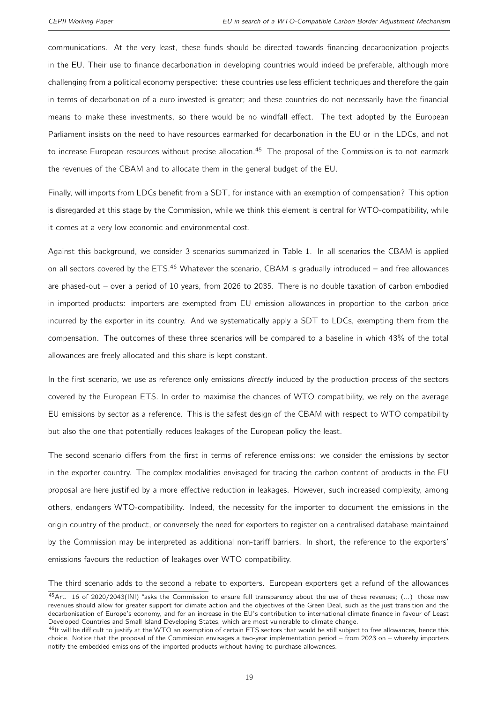communications. At the very least, these funds should be directed towards financing decarbonization projects in the EU. Their use to finance decarbonation in developing countries would indeed be preferable, although more challenging from a political economy perspective: these countries use less efficient techniques and therefore the gain in terms of decarbonation of a euro invested is greater; and these countries do not necessarily have the financial means to make these investments, so there would be no windfall effect. The text adopted by the European Parliament insists on the need to have resources earmarked for decarbonation in the EU or in the LDCs, and not to increase European resources without precise allocation.<sup>[45](#page-2-0)</sup> The proposal of the Commission is to not earmark the revenues of the CBAM and to allocate them in the general budget of the EU.

Finally, will imports from LDCs benefit from a SDT, for instance with an exemption of compensation? This option is disregarded at this stage by the Commission, while we think this element is central for WTO-compatibility, while it comes at a very low economic and environmental cost.

Against this background, we consider 3 scenarios summarized in Table [1.](#page-19-1) In all scenarios the CBAM is applied on all sectors covered by the ETS. $46$  Whatever the scenario, CBAM is gradually introduced – and free allowances are phased-out – over a period of 10 years, from 2026 to 2035. There is no double taxation of carbon embodied in imported products: importers are exempted from EU emission allowances in proportion to the carbon price incurred by the exporter in its country. And we systematically apply a SDT to LDCs, exempting them from the compensation. The outcomes of these three scenarios will be compared to a baseline in which 43% of the total allowances are freely allocated and this share is kept constant.

In the first scenario, we use as reference only emissions *directly* induced by the production process of the sectors covered by the European ETS. In order to maximise the chances of WTO compatibility, we rely on the average EU emissions by sector as a reference. This is the safest design of the CBAM with respect to WTO compatibility but also the one that potentially reduces leakages of the European policy the least.

The second scenario differs from the first in terms of reference emissions: we consider the emissions by sector in the exporter country. The complex modalities envisaged for tracing the carbon content of products in the EU proposal are here justified by a more effective reduction in leakages. However, such increased complexity, among others, endangers WTO-compatibility. Indeed, the necessity for the importer to document the emissions in the origin country of the product, or conversely the need for exporters to register on a centralised database maintained by the Commission may be interpreted as additional non-tariff barriers. In short, the reference to the exporters' emissions favours the reduction of leakages over WTO compatibility.

The third scenario adds to the second a rebate to exporters. European exporters get a refund of the allowances

<sup>45</sup> Art. 16 of 2020/2043(INI) "asks the Commission to ensure full transparency about the use of those revenues; (...) those new revenues should allow for greater support for climate action and the objectives of the Green Deal, such as the just transition and the decarbonisation of Europe's economy, and for an increase in the EU's contribution to international climate finance in favour of Least Developed Countries and Small Island Developing States, which are most vulnerable to climate change.

<sup>46</sup>It will be difficult to justify at the WTO an exemption of certain ETS sectors that would be still subject to free allowances, hence this choice. Notice that the proposal of the Commission envisages a two-year implementation period – from 2023 on – whereby importers notify the embedded emissions of the imported products without having to purchase allowances.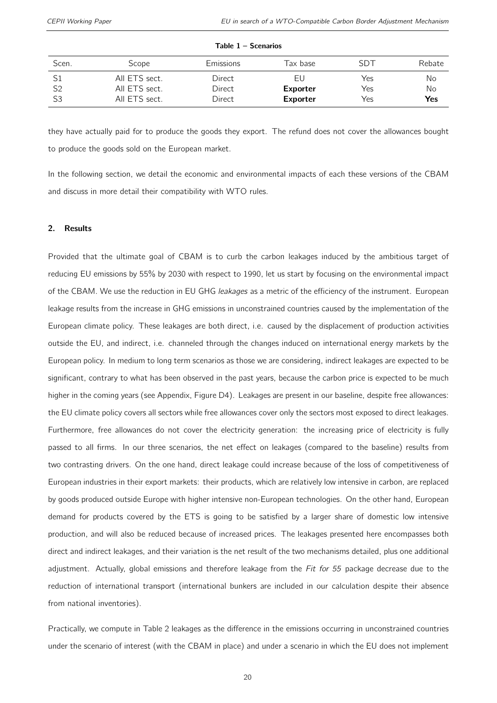<span id="page-19-1"></span>

| Scen.          | Scope         | Emissions | Tax base        | <b>SDT</b> | Rebate |
|----------------|---------------|-----------|-----------------|------------|--------|
|                | All ETS sect. | Direct    | EU              | Yes        | No     |
| S <sub>2</sub> | All ETS sect. | Direct    | <b>Exporter</b> | Yes        | No     |
| S <sub>3</sub> | All ETS sect. | Direct    | <b>Exporter</b> | Yes        | Yes    |

#### Table 1 – Scenarios

they have actually paid for to produce the goods they export. The refund does not cover the allowances bought to produce the goods sold on the European market.

In the following section, we detail the economic and environmental impacts of each these versions of the CBAM and discuss in more detail their compatibility with WTO rules.

#### <span id="page-19-0"></span>2. Results

Provided that the ultimate goal of CBAM is to curb the carbon leakages induced by the ambitious target of reducing EU emissions by 55% by 2030 with respect to 1990, let us start by focusing on the environmental impact of the CBAM. We use the reduction in EU GHG leakages as a metric of the efficiency of the instrument. European leakage results from the increase in GHG emissions in unconstrained countries caused by the implementation of the European climate policy. These leakages are both direct, i.e. caused by the displacement of production activities outside the EU, and indirect, i.e. channeled through the changes induced on international energy markets by the European policy. In medium to long term scenarios as those we are considering, indirect leakages are expected to be significant, contrary to what has been observed in the past years, because the carbon price is expected to be much higher in the coming years (see Appendix, Figure [D4\)](#page-43-0). Leakages are present in our baseline, despite free allowances: the EU climate policy covers all sectors while free allowances cover only the sectors most exposed to direct leakages. Furthermore, free allowances do not cover the electricity generation: the increasing price of electricity is fully passed to all firms. In our three scenarios, the net effect on leakages (compared to the baseline) results from two contrasting drivers. On the one hand, direct leakage could increase because of the loss of competitiveness of European industries in their export markets: their products, which are relatively low intensive in carbon, are replaced by goods produced outside Europe with higher intensive non-European technologies. On the other hand, European demand for products covered by the ETS is going to be satisfied by a larger share of domestic low intensive production, and will also be reduced because of increased prices. The leakages presented here encompasses both direct and indirect leakages, and their variation is the net result of the two mechanisms detailed, plus one additional adjustment. Actually, global emissions and therefore leakage from the Fit for 55 package decrease due to the reduction of international transport (international bunkers are included in our calculation despite their absence from national inventories).

Practically, we compute in Table [2](#page-20-0) leakages as the difference in the emissions occurring in unconstrained countries under the scenario of interest (with the CBAM in place) and under a scenario in which the EU does not implement

20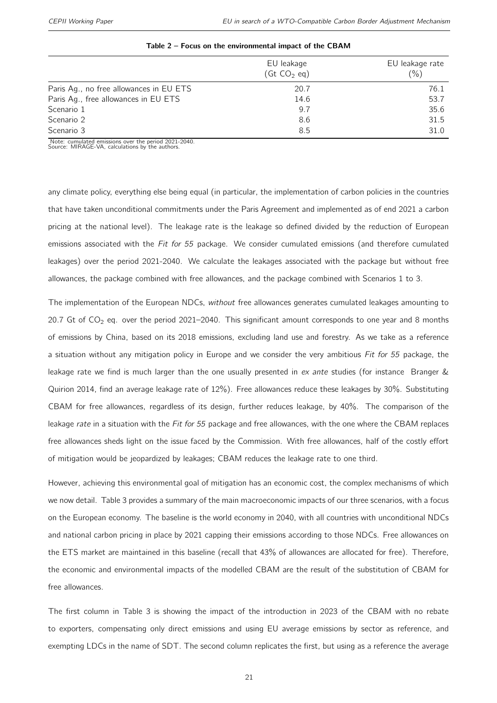<span id="page-20-0"></span>

| EU leakage<br>$($ Gt CO <sub>2</sub> eq) | EU leakage rate<br>$(\% )$ |
|------------------------------------------|----------------------------|
| 20.7                                     | 76.1                       |
| 14.6                                     | 53.7                       |
| 9.7                                      | 35.6                       |
| 8.6                                      | 31.5                       |
| 8.5                                      | 31.0                       |
|                                          |                            |

#### Table 2 – Focus on the environmental impact of the CBAM

Note: cumulated emissions over the period 2021-2040. Source: MIRAGE-VA, calculations by the authors.

any climate policy, everything else being equal (in particular, the implementation of carbon policies in the countries that have taken unconditional commitments under the Paris Agreement and implemented as of end 2021 a carbon pricing at the national level). The leakage rate is the leakage so defined divided by the reduction of European emissions associated with the Fit for 55 package. We consider cumulated emissions (and therefore cumulated leakages) over the period 2021-2040. We calculate the leakages associated with the package but without free allowances, the package combined with free allowances, and the package combined with Scenarios 1 to 3.

The implementation of the European NDCs, without free allowances generates cumulated leakages amounting to 20.7 Gt of  $CO<sub>2</sub>$  eq. over the period 2021–2040. This significant amount corresponds to one year and 8 months of emissions by China, based on its 2018 emissions, excluding land use and forestry. As we take as a reference a situation without any mitigation policy in Europe and we consider the very ambitious Fit for 55 package, the leakage rate we find is much larger than the one usually presented in ex ante studies (for instance [Branger &](#page-31-13) [Quirion](#page-31-13) [2014,](#page-31-13) find an average leakage rate of 12%). Free allowances reduce these leakages by 30%. Substituting CBAM for free allowances, regardless of its design, further reduces leakage, by 40%. The comparison of the leakage rate in a situation with the Fit for 55 package and free allowances, with the one where the CBAM replaces free allowances sheds light on the issue faced by the Commission. With free allowances, half of the costly effort of mitigation would be jeopardized by leakages; CBAM reduces the leakage rate to one third.

However, achieving this environmental goal of mitigation has an economic cost, the complex mechanisms of which we now detail. Table [3](#page-21-0) provides a summary of the main macroeconomic impacts of our three scenarios, with a focus on the European economy. The baseline is the world economy in 2040, with all countries with unconditional NDCs and national carbon pricing in place by 2021 capping their emissions according to those NDCs. Free allowances on the ETS market are maintained in this baseline (recall that 43% of allowances are allocated for free). Therefore, the economic and environmental impacts of the modelled CBAM are the result of the substitution of CBAM for free allowances.

The first column in Table [3](#page-21-0) is showing the impact of the introduction in 2023 of the CBAM with no rebate to exporters, compensating only direct emissions and using EU average emissions by sector as reference, and exempting LDCs in the name of SDT. The second column replicates the first, but using as a reference the average

21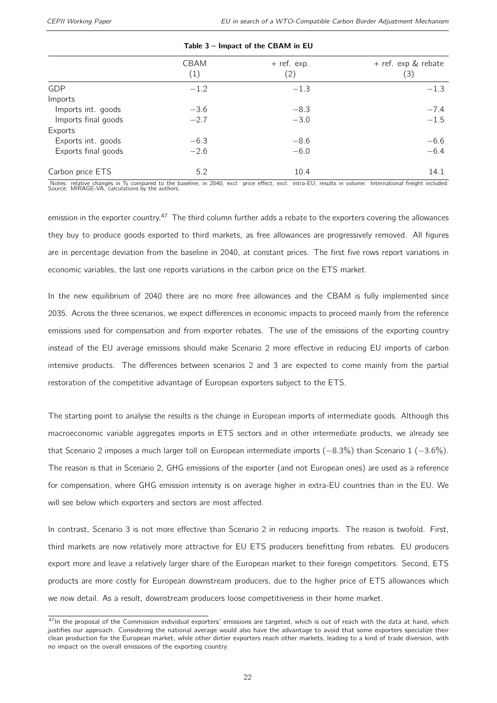<span id="page-21-0"></span>

|                     | CBAM<br>(1) | $+$ ref. exp.<br>(2) | + ref. exp & rebate<br>(3) |
|---------------------|-------------|----------------------|----------------------------|
| GDP                 | $-1.2$      | $-1.3$               | $-1.3$                     |
| Imports             |             |                      |                            |
| Imports int. goods  | $-3.6$      | $-8.3$               | $-7.4$                     |
| Imports final goods | $-2.7$      | $-3.0$               | $-1.5$                     |
| Exports             |             |                      |                            |
| Exports int. goods  | $-6.3$      | $-8.6$               | $-6.6$                     |
| Exports final goods | $-2.6$      | $-6.0$               | $-6.4$                     |
| Carbon price ETS    | 5.2         | 10.4                 | 14.1                       |

#### Table 3 – Impact of the CBAM in EU

Notes: relative changes in % compared to the baseline, in 2040, excl. price effect, excl. intra-EU, results in volume. International freight included.<br>Source: MIRAGE-VA, calculations by the authors.

emission in the exporter country.<sup>[47](#page-2-0)</sup> The third column further adds a rebate to the exporters covering the allowances they buy to produce goods exported to third markets, as free allowances are progressively removed. All figures are in percentage deviation from the baseline in 2040, at constant prices. The first five rows report variations in economic variables, the last one reports variations in the carbon price on the ETS market.

In the new equilibrium of 2040 there are no more free allowances and the CBAM is fully implemented since 2035. Across the three scenarios, we expect differences in economic impacts to proceed mainly from the reference emissions used for compensation and from exporter rebates. The use of the emissions of the exporting country instead of the EU average emissions should make Scenario 2 more effective in reducing EU imports of carbon intensive products. The differences between scenarios 2 and 3 are expected to come mainly from the partial restoration of the competitive advantage of European exporters subject to the ETS.

The starting point to analyse the results is the change in European imports of intermediate goods. Although this macroeconomic variable aggregates imports in ETS sectors and in other intermediate products, we already see that Scenario 2 imposes a much larger toll on European intermediate imports (−8.3%) than Scenario 1 (−3.6%). The reason is that in Scenario 2, GHG emissions of the exporter (and not European ones) are used as a reference for compensation, where GHG emission intensity is on average higher in extra-EU countries than in the EU. We will see below which exporters and sectors are most affected.

In contrast, Scenario 3 is not more effective than Scenario 2 in reducing imports. The reason is twofold. First, third markets are now relatively more attractive for EU ETS producers benefitting from rebates. EU producers export more and leave a relatively larger share of the European market to their foreign competitors. Second, ETS products are more costly for European downstream producers, due to the higher price of ETS allowances which we now detail. As a result, downstream producers loose competitiveness in their home market.

 $47$ In the proposal of the Commission individual exporters' emissions are targeted, which is out of reach with the data at hand, which justifies our approach. Considering the national average would also have the advantage to avoid that some exporters specialize their clean production for the European market, while other dirtier exporters reach other markets, leading to a kind of trade diversion, with no impact on the overall emissions of the exporting country.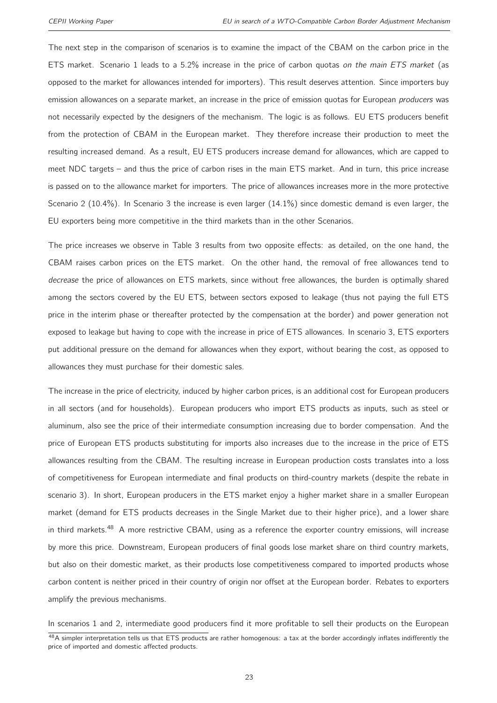The next step in the comparison of scenarios is to examine the impact of the CBAM on the carbon price in the ETS market. Scenario 1 leads to a 5.2% increase in the price of carbon quotas on the main ETS market (as opposed to the market for allowances intended for importers). This result deserves attention. Since importers buy emission allowances on a separate market, an increase in the price of emission quotas for European *producers* was not necessarily expected by the designers of the mechanism. The logic is as follows. EU ETS producers benefit from the protection of CBAM in the European market. They therefore increase their production to meet the resulting increased demand. As a result, EU ETS producers increase demand for allowances, which are capped to meet NDC targets – and thus the price of carbon rises in the main ETS market. And in turn, this price increase is passed on to the allowance market for importers. The price of allowances increases more in the more protective Scenario 2 (10.4%). In Scenario 3 the increase is even larger (14.1%) since domestic demand is even larger, the EU exporters being more competitive in the third markets than in the other Scenarios.

The price increases we observe in Table [3](#page-21-0) results from two opposite effects: as detailed, on the one hand, the CBAM raises carbon prices on the ETS market. On the other hand, the removal of free allowances tend to decrease the price of allowances on ETS markets, since without free allowances, the burden is optimally shared among the sectors covered by the EU ETS, between sectors exposed to leakage (thus not paying the full ETS price in the interim phase or thereafter protected by the compensation at the border) and power generation not exposed to leakage but having to cope with the increase in price of ETS allowances. In scenario 3, ETS exporters put additional pressure on the demand for allowances when they export, without bearing the cost, as opposed to allowances they must purchase for their domestic sales.

The increase in the price of electricity, induced by higher carbon prices, is an additional cost for European producers in all sectors (and for households). European producers who import ETS products as inputs, such as steel or aluminum, also see the price of their intermediate consumption increasing due to border compensation. And the price of European ETS products substituting for imports also increases due to the increase in the price of ETS allowances resulting from the CBAM. The resulting increase in European production costs translates into a loss of competitiveness for European intermediate and final products on third-country markets (despite the rebate in scenario 3). In short, European producers in the ETS market enjoy a higher market share in a smaller European market (demand for ETS products decreases in the Single Market due to their higher price), and a lower share in third markets.<sup>[48](#page-2-0)</sup> A more restrictive CBAM, using as a reference the exporter country emissions, will increase by more this price. Downstream, European producers of final goods lose market share on third country markets, but also on their domestic market, as their products lose competitiveness compared to imported products whose carbon content is neither priced in their country of origin nor offset at the European border. Rebates to exporters amplify the previous mechanisms.

In scenarios 1 and 2, intermediate good producers find it more profitable to sell their products on the European

 $48A$  simpler interpretation tells us that ETS products are rather homogenous: a tax at the border accordingly inflates indifferently the price of imported and domestic affected products.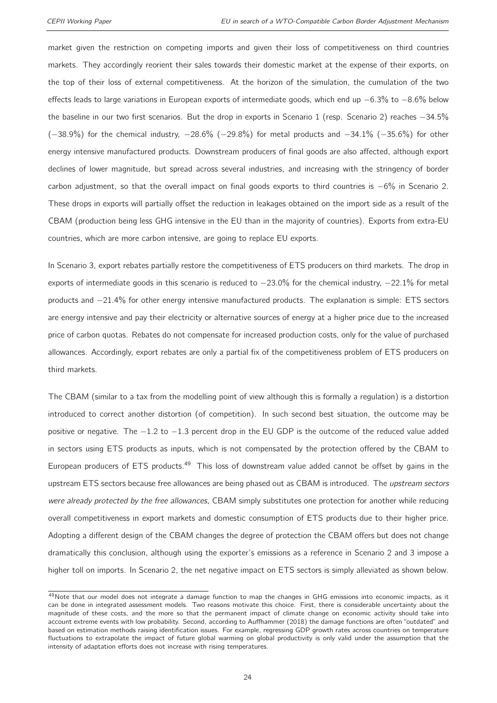market given the restriction on competing imports and given their loss of competitiveness on third countries markets. They accordingly reorient their sales towards their domestic market at the expense of their exports, on the top of their loss of external competitiveness. At the horizon of the simulation, the cumulation of the two effects leads to large variations in European exports of intermediate goods, which end up −6.3% to −8.6% below the baseline in our two first scenarios. But the drop in exports in Scenario 1 (resp. Scenario 2) reaches −34.5% (−38.9%) for the chemical industry, −28.6% (−29.8%) for metal products and −34.1% (−35.6%) for other energy intensive manufactured products. Downstream producers of final goods are also affected, although export declines of lower magnitude, but spread across several industries, and increasing with the stringency of border carbon adjustment, so that the overall impact on final goods exports to third countries is −6% in Scenario 2. These drops in exports will partially offset the reduction in leakages obtained on the import side as a result of the CBAM (production being less GHG intensive in the EU than in the majority of countries). Exports from extra-EU countries, which are more carbon intensive, are going to replace EU exports.

In Scenario 3, export rebates partially restore the competitiveness of ETS producers on third markets. The drop in exports of intermediate goods in this scenario is reduced to −23.0% for the chemical industry, −22.1% for metal products and −21.4% for other energy intensive manufactured products. The explanation is simple: ETS sectors are energy intensive and pay their electricity or alternative sources of energy at a higher price due to the increased price of carbon quotas. Rebates do not compensate for increased production costs, only for the value of purchased allowances. Accordingly, export rebates are only a partial fix of the competitiveness problem of ETS producers on third markets.

The CBAM (similar to a tax from the modelling point of view although this is formally a regulation) is a distortion introduced to correct another distortion (of competition). In such second best situation, the outcome may be positive or negative. The −1.2 to −1.3 percent drop in the EU GDP is the outcome of the reduced value added in sectors using ETS products as inputs, which is not compensated by the protection offered by the CBAM to European producers of ETS products.<sup>[49](#page-2-0)</sup> This loss of downstream value added cannot be offset by gains in the upstream ETS sectors because free allowances are being phased out as CBAM is introduced. The upstream sectors were already protected by the free allowances, CBAM simply substitutes one protection for another while reducing overall competitiveness in export markets and domestic consumption of ETS products due to their higher price. Adopting a different design of the CBAM changes the degree of protection the CBAM offers but does not change dramatically this conclusion, although using the exporter's emissions as a reference in Scenario 2 and 3 impose a higher toll on imports. In Scenario 2, the net negative impact on ETS sectors is simply alleviated as shown below.

 $49$ Note that our model does not integrate a damage function to map the changes in GHG emissions into economic impacts, as it can be done in integrated assessment models. Two reasons motivate this choice. First, there is considerable uncertainty about the magnitude of these costs, and the more so that the permanent impact of climate change on economic activity should take into account extreme events with low probability. Second, according to [Auffhammer](#page-31-14) [\(2018\)](#page-31-14) the damage functions are often "outdated" and based on estimation methods raising identification issues. For example, regressing GDP growth rates across countries on temperature fluctuations to extrapolate the impact of future global warming on global productivity is only valid under the assumption that the intensity of adaptation efforts does not increase with rising temperatures.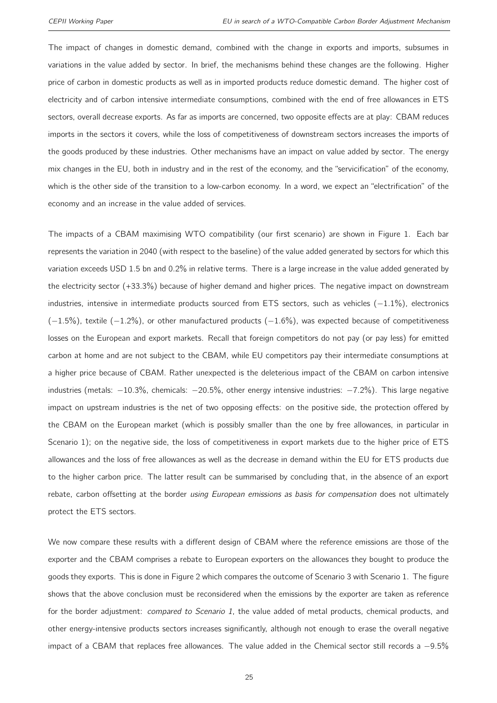The impact of changes in domestic demand, combined with the change in exports and imports, subsumes in variations in the value added by sector. In brief, the mechanisms behind these changes are the following. Higher price of carbon in domestic products as well as in imported products reduce domestic demand. The higher cost of electricity and of carbon intensive intermediate consumptions, combined with the end of free allowances in ETS sectors, overall decrease exports. As far as imports are concerned, two opposite effects are at play: CBAM reduces imports in the sectors it covers, while the loss of competitiveness of downstream sectors increases the imports of the goods produced by these industries. Other mechanisms have an impact on value added by sector. The energy mix changes in the EU, both in industry and in the rest of the economy, and the "servicification" of the economy, which is the other side of the transition to a low-carbon economy. In a word, we expect an "electrification" of the economy and an increase in the value added of services.

The impacts of a CBAM maximising WTO compatibility (our first scenario) are shown in Figure [1.](#page-26-0) Each bar represents the variation in 2040 (with respect to the baseline) of the value added generated by sectors for which this variation exceeds USD 1.5 bn and 0.2% in relative terms. There is a large increase in the value added generated by the electricity sector (+33.3%) because of higher demand and higher prices. The negative impact on downstream industries, intensive in intermediate products sourced from ETS sectors, such as vehicles (−1.1%), electronics  $(-1.5%)$ , textile  $(-1.2%)$ , or other manufactured products  $(-1.6%)$ , was expected because of competitiveness losses on the European and export markets. Recall that foreign competitors do not pay (or pay less) for emitted carbon at home and are not subject to the CBAM, while EU competitors pay their intermediate consumptions at a higher price because of CBAM. Rather unexpected is the deleterious impact of the CBAM on carbon intensive industries (metals: −10.3%, chemicals: −20.5%, other energy intensive industries: −7.2%). This large negative impact on upstream industries is the net of two opposing effects: on the positive side, the protection offered by the CBAM on the European market (which is possibly smaller than the one by free allowances, in particular in Scenario 1); on the negative side, the loss of competitiveness in export markets due to the higher price of ETS allowances and the loss of free allowances as well as the decrease in demand within the EU for ETS products due to the higher carbon price. The latter result can be summarised by concluding that, in the absence of an export rebate, carbon offsetting at the border using European emissions as basis for compensation does not ultimately protect the ETS sectors.

We now compare these results with a different design of CBAM where the reference emissions are those of the exporter and the CBAM comprises a rebate to European exporters on the allowances they bought to produce the goods they exports. This is done in Figure [2](#page-26-1) which compares the outcome of Scenario 3 with Scenario 1. The figure shows that the above conclusion must be reconsidered when the emissions by the exporter are taken as reference for the border adjustment: compared to Scenario 1, the value added of metal products, chemical products, and other energy-intensive products sectors increases significantly, although not enough to erase the overall negative impact of a CBAM that replaces free allowances. The value added in the Chemical sector still records a −9.5%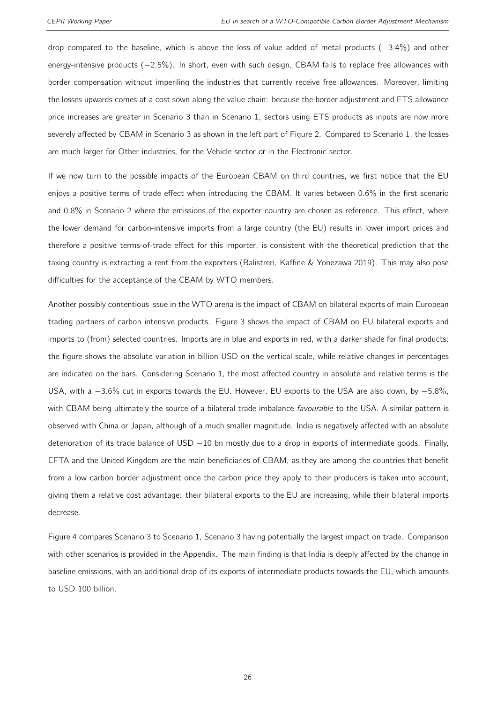drop compared to the baseline, which is above the loss of value added of metal products (−3.4%) and other energy-intensive products (−2.5%). In short, even with such design, CBAM fails to replace free allowances with border compensation without imperiling the industries that currently receive free allowances. Moreover, limiting the losses upwards comes at a cost sown along the value chain: because the border adjustment and ETS allowance price increases are greater in Scenario 3 than in Scenario 1, sectors using ETS products as inputs are now more severely affected by CBAM in Scenario 3 as shown in the left part of Figure [2.](#page-26-1) Compared to Scenario 1, the losses are much larger for Other industries, for the Vehicle sector or in the Electronic sector.

If we now turn to the possible impacts of the European CBAM on third countries, we first notice that the EU enjoys a positive terms of trade effect when introducing the CBAM. It varies between 0.6% in the first scenario and 0.8% in Scenario 2 where the emissions of the exporter country are chosen as reference. This effect, where the lower demand for carbon-intensive imports from a large country (the EU) results in lower import prices and therefore a positive terms-of-trade effect for this importer, is consistent with the theoretical prediction that the taxing country is extracting a rent from the exporters [\(Balistreri, Kaffine & Yonezawa](#page-31-15) [2019\)](#page-31-15). This may also pose difficulties for the acceptance of the CBAM by WTO members.

Another possibly contentious issue in the WTO arena is the impact of CBAM on bilateral exports of main European trading partners of carbon intensive products. Figure [3](#page-27-0) shows the impact of CBAM on EU bilateral exports and imports to (from) selected countries. Imports are in blue and exports in red, with a darker shade for final products: the figure shows the absolute variation in billion USD on the vertical scale, while relative changes in percentages are indicated on the bars. Considering Scenario 1, the most affected country in absolute and relative terms is the USA, with a −3.6% cut in exports towards the EU. However, EU exports to the USA are also down, by −5.8%, with CBAM being ultimately the source of a bilateral trade imbalance favourable to the USA. A similar pattern is observed with China or Japan, although of a much smaller magnitude. India is negatively affected with an absolute deterioration of its trade balance of USD −10 bn mostly due to a drop in exports of intermediate goods. Finally, EFTA and the United Kingdom are the main beneficiaries of CBAM, as they are among the countries that benefit from a low carbon border adjustment once the carbon price they apply to their producers is taken into account, giving them a relative cost advantage: their bilateral exports to the EU are increasing, while their bilateral imports decrease.

Figure [4](#page-28-0) compares Scenario 3 to Scenario 1, Scenario 3 having potentially the largest impact on trade. Comparison with other scenarios is provided in the Appendix. The main finding is that India is deeply affected by the change in baseline emissions, with an additional drop of its exports of intermediate products towards the EU, which amounts to USD 100 billion.

26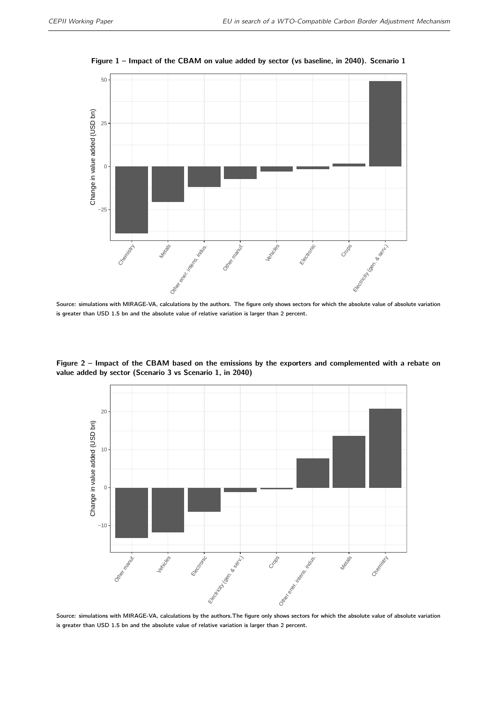<span id="page-26-0"></span>

Figure 1 – Impact of the CBAM on value added by sector (vs baseline, in 2040). Scenario 1

Source: simulations with MIRAGE-VA, calculations by the authors. The figure only shows sectors for which the absolute value of absolute variation is greater than USD 1.5 bn and the absolute value of relative variation is larger than 2 percent.

<span id="page-26-1"></span>Figure 2 – Impact of the CBAM based on the emissions by the exporters and complemented with a rebate on value added by sector (Scenario 3 vs Scenario 1, in 2040)



Source: simulations with MIRAGE-VA, calculations by the authors.The figure only shows sectors for which the absolute value of absolute variation is greater than USD 1.5 bn and the absolute value of relative variation is larger than 2 percent.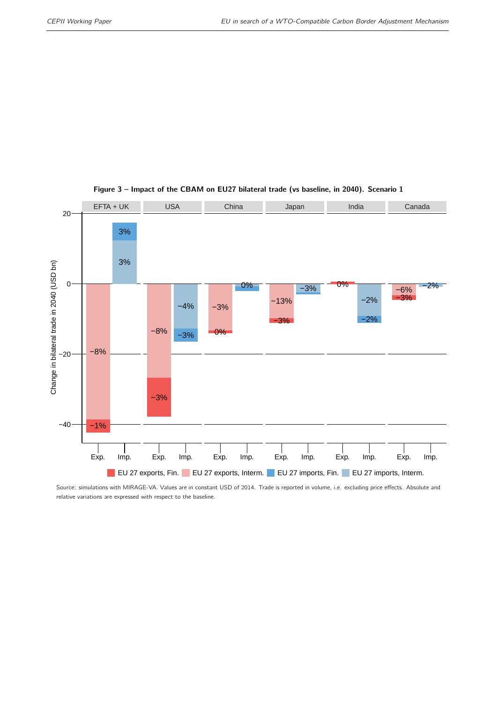<span id="page-27-0"></span>

#### Figure 3 – Impact of the CBAM on EU27 bilateral trade (vs baseline, in 2040). Scenario 1

Source: simulations with MIRAGE-VA. Values are in constant USD of 2014. Trade is reported in volume, i.e. excluding price effects. Absolute and relative variations are expressed with respect to the baseline.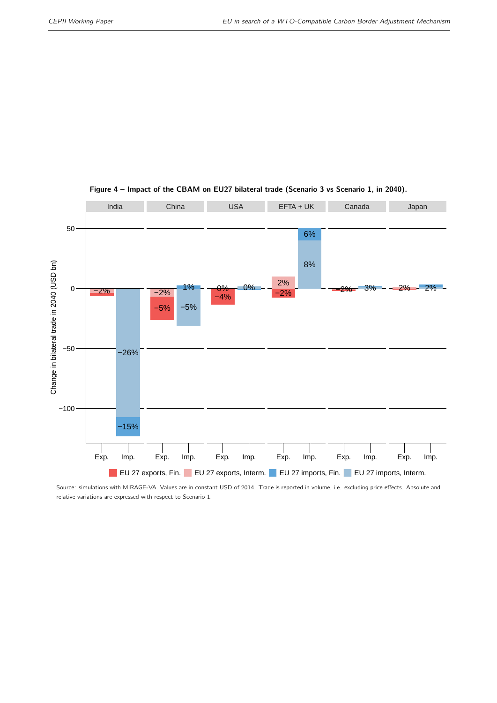<span id="page-28-0"></span>

#### Figure 4 – Impact of the CBAM on EU27 bilateral trade (Scenario 3 vs Scenario 1, in 2040).

Source: simulations with MIRAGE-VA. Values are in constant USD of 2014. Trade is reported in volume, i.e. excluding price effects. Absolute and relative variations are expressed with respect to Scenario 1.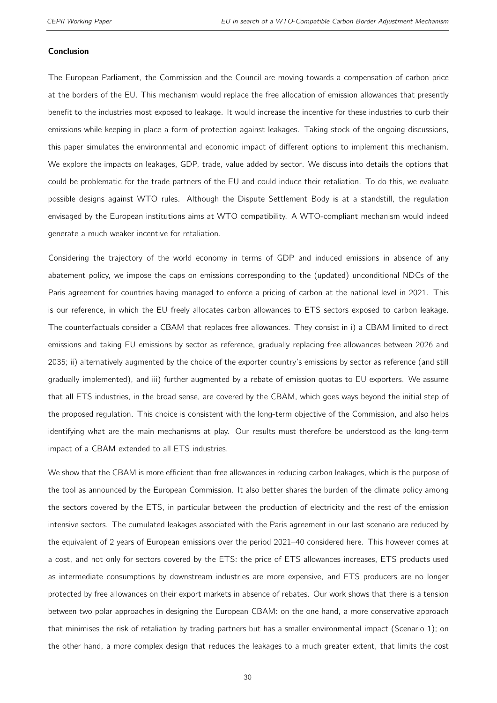#### Conclusion

The European Parliament, the Commission and the Council are moving towards a compensation of carbon price at the borders of the EU. This mechanism would replace the free allocation of emission allowances that presently benefit to the industries most exposed to leakage. It would increase the incentive for these industries to curb their emissions while keeping in place a form of protection against leakages. Taking stock of the ongoing discussions, this paper simulates the environmental and economic impact of different options to implement this mechanism. We explore the impacts on leakages, GDP, trade, value added by sector. We discuss into details the options that could be problematic for the trade partners of the EU and could induce their retaliation. To do this, we evaluate possible designs against WTO rules. Although the Dispute Settlement Body is at a standstill, the regulation envisaged by the European institutions aims at WTO compatibility. A WTO-compliant mechanism would indeed generate a much weaker incentive for retaliation.

Considering the trajectory of the world economy in terms of GDP and induced emissions in absence of any abatement policy, we impose the caps on emissions corresponding to the (updated) unconditional NDCs of the Paris agreement for countries having managed to enforce a pricing of carbon at the national level in 2021. This is our reference, in which the EU freely allocates carbon allowances to ETS sectors exposed to carbon leakage. The counterfactuals consider a CBAM that replaces free allowances. They consist in i) a CBAM limited to direct emissions and taking EU emissions by sector as reference, gradually replacing free allowances between 2026 and 2035; ii) alternatively augmented by the choice of the exporter country's emissions by sector as reference (and still gradually implemented), and iii) further augmented by a rebate of emission quotas to EU exporters. We assume that all ETS industries, in the broad sense, are covered by the CBAM, which goes ways beyond the initial step of the proposed regulation. This choice is consistent with the long-term objective of the Commission, and also helps identifying what are the main mechanisms at play. Our results must therefore be understood as the long-term impact of a CBAM extended to all ETS industries.

We show that the CBAM is more efficient than free allowances in reducing carbon leakages, which is the purpose of the tool as announced by the European Commission. It also better shares the burden of the climate policy among the sectors covered by the ETS, in particular between the production of electricity and the rest of the emission intensive sectors. The cumulated leakages associated with the Paris agreement in our last scenario are reduced by the equivalent of 2 years of European emissions over the period 2021–40 considered here. This however comes at a cost, and not only for sectors covered by the ETS: the price of ETS allowances increases, ETS products used as intermediate consumptions by downstream industries are more expensive, and ETS producers are no longer protected by free allowances on their export markets in absence of rebates. Our work shows that there is a tension between two polar approaches in designing the European CBAM: on the one hand, a more conservative approach that minimises the risk of retaliation by trading partners but has a smaller environmental impact (Scenario 1); on the other hand, a more complex design that reduces the leakages to a much greater extent, that limits the cost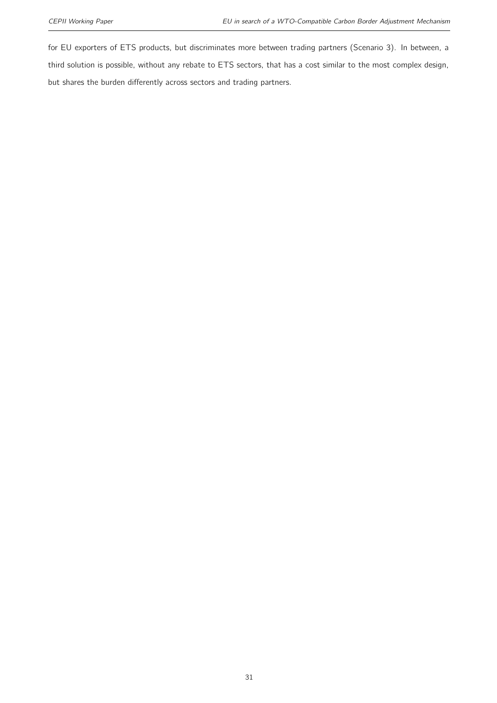for EU exporters of ETS products, but discriminates more between trading partners (Scenario 3). In between, a third solution is possible, without any rebate to ETS sectors, that has a cost similar to the most complex design, but shares the burden differently across sectors and trading partners.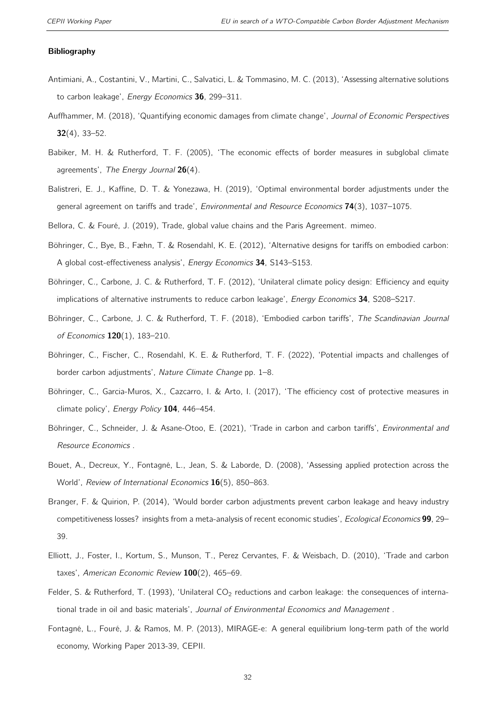#### Bibliography

- <span id="page-31-6"></span>Antimiani, A., Costantini, V., Martini, C., Salvatici, L. & Tommasino, M. C. (2013), 'Assessing alternative solutions to carbon leakage', Energy Economics 36, 299-311.
- <span id="page-31-14"></span>Auffhammer, M. (2018), 'Quantifying economic damages from climate change', Journal of Economic Perspectives 32(4), 33–52.
- <span id="page-31-4"></span>Babiker, M. H. & Rutherford, T. F. (2005), 'The economic effects of border measures in subglobal climate agreements', The Energy Journal  $26(4)$ .
- <span id="page-31-15"></span>Balistreri, E. J., Kaffine, D. T. & Yonezawa, H. (2019), 'Optimal environmental border adjustments under the general agreement on tariffs and trade', Environmental and Resource Economics 74(3), 1037-1075.
- <span id="page-31-10"></span><span id="page-31-5"></span>Bellora, C. & Fouré, J. (2019), Trade, global value chains and the Paris Agreement. mimeo.
- Böhringer, C., Bye, B., Fæhn, T. & Rosendahl, K. E. (2012), 'Alternative designs for tariffs on embodied carbon: A global cost-effectiveness analysis', Energy Economics 34, S143–S153.
- <span id="page-31-0"></span>Böhringer, C., Carbone, J. C. & Rutherford, T. F. (2012), 'Unilateral climate policy design: Efficiency and equity implications of alternative instruments to reduce carbon leakage', Energy Economics 34, S208-S217.
- <span id="page-31-7"></span>Böhringer, C., Carbone, J. C. & Rutherford, T. F. (2018), 'Embodied carbon tariffs', The Scandinavian Journal of Economics 120(1), 183–210.
- <span id="page-31-2"></span>Böhringer, C., Fischer, C., Rosendahl, K. E. & Rutherford, T. F. (2022), 'Potential impacts and challenges of border carbon adjustments', Nature Climate Change pp. 1–8.
- <span id="page-31-8"></span>Böhringer, C., Garcia-Muros, X., Cazcarro, I. & Arto, I. (2017), 'The efficiency cost of protective measures in climate policy', Energy Policy 104, 446-454.
- <span id="page-31-9"></span>Böhringer, C., Schneider, J. & Asane-Otoo, E. (2021), 'Trade in carbon and carbon tariffs', Environmental and Resource Economics .
- <span id="page-31-12"></span>Bouet, A., Decreux, Y., Fontagné, L., Jean, S. & Laborde, D. (2008), 'Assessing applied protection across the World', Review of International Economics 16(5), 850-863.
- <span id="page-31-13"></span>Branger, F. & Quirion, P. (2014), 'Would border carbon adjustments prevent carbon leakage and heavy industry competitiveness losses? insights from a meta-analysis of recent economic studies', Ecological Economics 99, 29– 39.
- <span id="page-31-3"></span>Elliott, J., Foster, I., Kortum, S., Munson, T., Perez Cervantes, F. & Weisbach, D. (2010), 'Trade and carbon taxes', American Economic Review  $100(2)$ , 465-69.
- <span id="page-31-1"></span>Felder, S. & Rutherford, T. (1993), 'Unilateral  $CO<sub>2</sub>$  reductions and carbon leakage: the consequences of international trade in oil and basic materials', Journal of Environmental Economics and Management.
- <span id="page-31-11"></span>Fontagné, L., Fouré, J. & Ramos, M. P. (2013), MIRAGE-e: A general equilibrium long-term path of the world economy, Working Paper 2013-39, CEPII.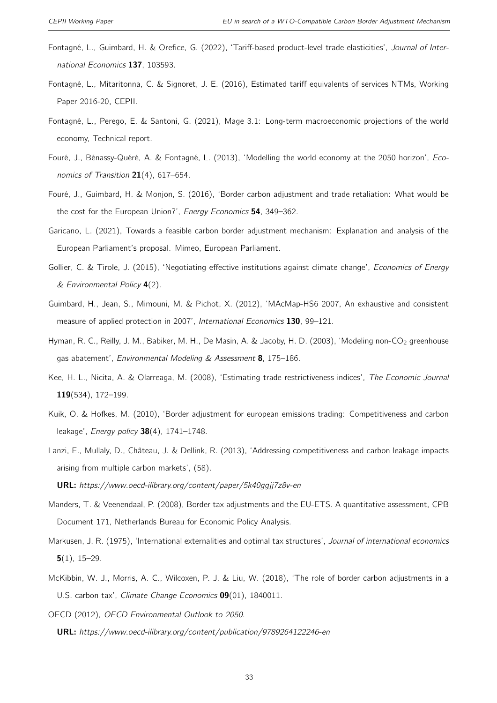- <span id="page-32-10"></span>Fontagné, L., Guimbard, H. & Orefice, G. (2022), 'Tariff-based product-level trade elasticities', Journal of International Economics 137, 103593.
- <span id="page-32-14"></span>Fontagné, L., Mitaritonna, C. & Signoret, J. E. (2016), Estimated tariff equivalents of services NTMs, Working Paper 2016-20, CEPII.
- <span id="page-32-3"></span>Fontagné, L., Perego, E. & Santoni, G. (2021), Mage 3.1: Long-term macroeconomic projections of the world economy, Technical report.
- <span id="page-32-2"></span>Fouré, J., Bénassy-Quéré, A. & Fontagné, L. (2013), 'Modelling the world economy at the 2050 horizon', Economics of Transition  $21(4)$ , 617-654.
- <span id="page-32-6"></span>Fouré, J., Guimbard, H. & Monjon, S. (2016), 'Border carbon adjustment and trade retaliation: What would be the cost for the European Union?', Energy Economics 54, 349-362.
- <span id="page-32-15"></span>Garicano, L. (2021), Towards a feasible carbon border adjustment mechanism: Explanation and analysis of the European Parliament's proposal. Mimeo, European Parliament.
- <span id="page-32-0"></span>Gollier, C. & Tirole, J. (2015), 'Negotiating effective institutions against climate change', Economics of Energy & Environmental Policy 4(2).
- <span id="page-32-12"></span>Guimbard, H., Jean, S., Mimouni, M. & Pichot, X. (2012), 'MAcMap-HS6 2007, An exhaustive and consistent measure of applied protection in 2007', International Economics 130, 99-121.
- <span id="page-32-11"></span>Hyman, R. C., Reilly, J. M., Babiker, M. H., De Masin, A. & Jacoby, H. D. (2003), 'Modeling non-CO<sub>2</sub> greenhouse gas abatement', Environmental Modeling & Assessment 8, 175-186.
- <span id="page-32-13"></span>Kee, H. L., Nicita, A. & Olarreaga, M. (2008), 'Estimating trade restrictiveness indices', The Economic Journal 119(534), 172–199.
- <span id="page-32-5"></span>Kuik, O. & Hofkes, M. (2010), 'Border adjustment for european emissions trading: Competitiveness and carbon leakage', *Energy policy* 38(4), 1741-1748.
- <span id="page-32-7"></span>Lanzi, E., Mullaly, D., Château, J. & Dellink, R. (2013), 'Addressing competitiveness and carbon leakage impacts arising from multiple carbon markets', (58).

URL: https://www.oecd-ilibrary.org/content/paper/5k40ggjj7z8v-en

- <span id="page-32-4"></span>Manders, T. & Veenendaal, P. (2008), Border tax adjustments and the EU-ETS. A quantitative assessment, CPB Document 171, Netherlands Bureau for Economic Policy Analysis.
- <span id="page-32-1"></span>Markusen, J. R. (1975), 'International externalities and optimal tax structures', Journal of international economics  $5(1)$ , 15–29.
- <span id="page-32-9"></span>McKibbin, W. J., Morris, A. C., Wilcoxen, P. J. & Liu, W. (2018), 'The role of border carbon adjustments in a U.S. carbon tax', Climate Change Economics 09(01), 1840011.
- <span id="page-32-8"></span>OECD (2012), OECD Environmental Outlook to 2050.
	- URL: https://www.oecd-ilibrary.org/content/publication/9789264122246-en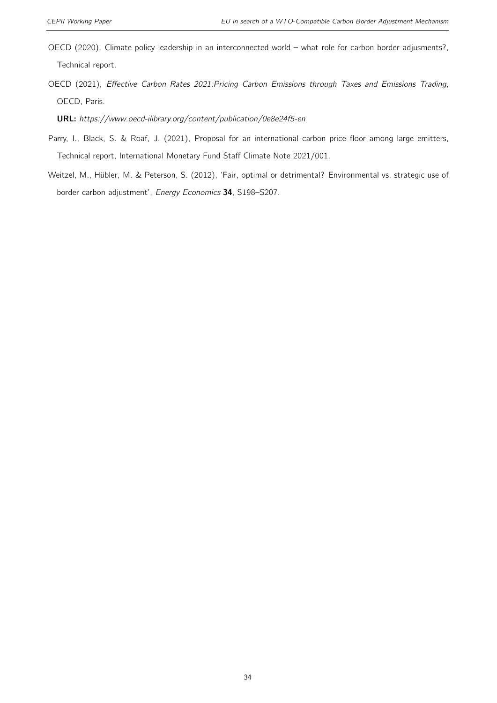- <span id="page-33-2"></span>OECD (2020), Climate policy leadership in an interconnected world – what role for carbon border adjusments?, Technical report.
- <span id="page-33-1"></span>OECD (2021), Effective Carbon Rates 2021:Pricing Carbon Emissions through Taxes and Emissions Trading, OECD, Paris.

URL: https://www.oecd-ilibrary.org/content/publication/0e8e24f5-en

- <span id="page-33-0"></span>Parry, I., Black, S. & Roaf, J. (2021), Proposal for an international carbon price floor among large emitters, Technical report, International Monetary Fund Staff Climate Note 2021/001.
- <span id="page-33-3"></span>Weitzel, M., Hübler, M. & Peterson, S. (2012), 'Fair, optimal or detrimental? Environmental vs. strategic use of border carbon adjustment', Energy Economics 34, S198–S207.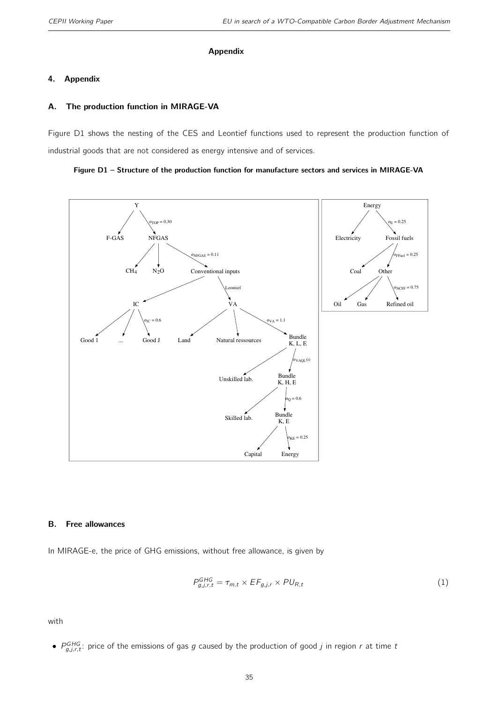#### Appendix

#### 4. Appendix

#### <span id="page-34-0"></span>A. The production function in MIRAGE-VA

Figure [D1](#page-34-1) shows the nesting of the CES and Leontief functions used to represent the production function of industrial goods that are not considered as energy intensive and of services.

<span id="page-34-1"></span>



#### B. Free allowances

In MIRAGE-e, the price of GHG emissions, without free allowance, is given by

$$
P_{g,j,r,t}^{GHG} = \tau_{m,t} \times EF_{g,j,r} \times PU_{R,t}
$$
\n(1)

with

•  $P_{g,j,r,t}^{GHG}$ : price of the emissions of gas g caused by the production of good j in region r at time t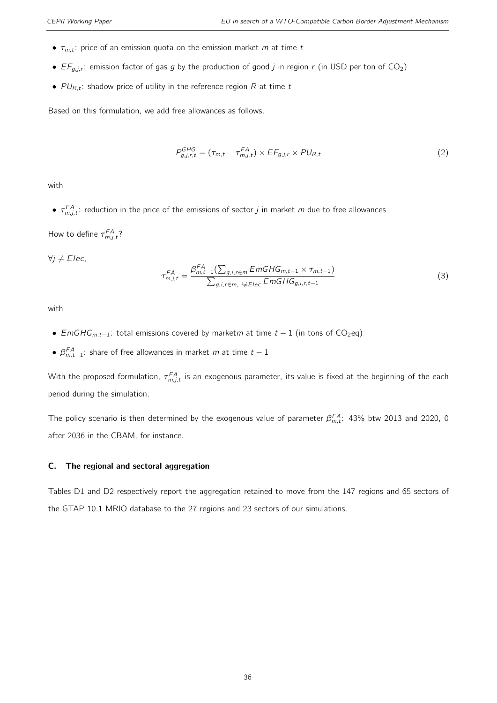- $\tau_{m,t}$ : price of an emission quota on the emission market m at time t
- $EF_{g,j,r}$ : emission factor of gas g by the production of good j in region r (in USD per ton of CO<sub>2</sub>)
- $PU_{R,t}$ : shadow price of utility in the reference region R at time t

Based on this formulation, we add free allowances as follows.

$$
P_{g,j,r,t}^{GHG} = (\tau_{m,t} - \tau_{m,j,t}^{FA}) \times EF_{g,j,r} \times PU_{R,t}
$$
\n
$$
(2)
$$

with

 $\bullet$   $\tau_{m,j,t}^{FA}$ : reduction in the price of the emissions of sector j in market m due to free allowances

How to define  $\tau_{m,j,t}^{\textit{FA}}$ ?

 $∀j ≠ Elec,$ 

$$
\tau_{m,j,t}^{FA} = \frac{\beta_{m,t-1}^{FA}(\sum_{g,i,r \in m} E m G H G_{m,t-1} \times \tau_{m,t-1})}{\sum_{g,i,r \in m, i \neq Elec} E m G H G_{g,i,r,t-1}}
$$
(3)

with

- EmGHG<sub>m,t−1</sub>: total emissions covered by marketm at time  $t 1$  (in tons of CO<sub>2</sub>eq)
- $\beta_{m,t-1}^{FA}$ : share of free allowances in market m at time  $t-1$

With the proposed formulation,  $\tau_{m,j,t}^{FA}$  is an exogenous parameter, its value is fixed at the beginning of the each period during the simulation.

The policy scenario is then determined by the exogenous value of parameter  $\beta^{FA}_{m,t}$ : 43% btw 2013 and 2020, 0 after 2036 in the CBAM, for instance.

#### C. The regional and sectoral aggregation

Tables [D1](#page-36-0) and [D2](#page-36-1) respectively report the aggregation retained to move from the 147 regions and 65 sectors of the GTAP 10.1 MRIO database to the 27 regions and 23 sectors of our simulations.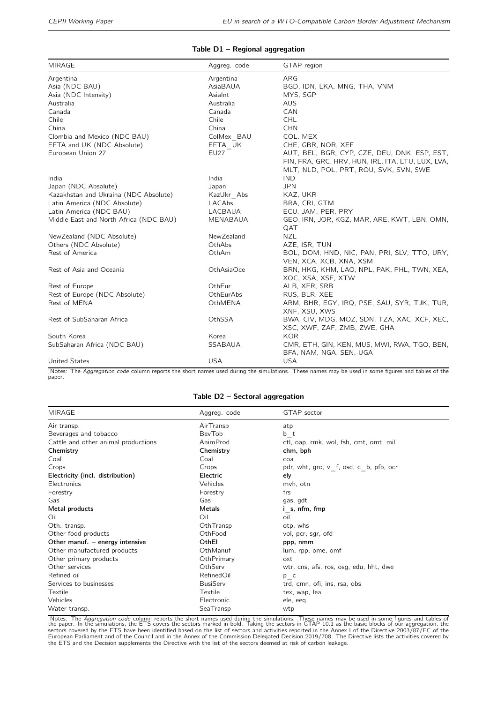#### Table D1 – Regional aggregation

<span id="page-36-0"></span>

| <b>MIRAGE</b>                          | Aggreg. code | GTAP region                                       |
|----------------------------------------|--------------|---------------------------------------------------|
| Argentina                              | Argentina    | ARG                                               |
| Asia (NDC BAU)                         | AsiaBAUA     | BGD, IDN, LKA, MNG, THA, VNM                      |
| Asia (NDC Intensity)                   | AsiaInt      | MYS, SGP                                          |
| Australia                              | Australia    | <b>AUS</b>                                        |
| Canada                                 | Canada       | CAN                                               |
| Chile                                  | Chile        | <b>CHL</b>                                        |
| China                                  | China        | <b>CHN</b>                                        |
| Clombia and Mexico (NDC BAU)           | ColMex BAU   | COL, MEX                                          |
| EFTA and UK (NDC Absolute)             | EFTA UK      | CHE, GBR, NOR, XEF                                |
| European Union 27                      | <b>EU27</b>  | AUT, BEL, BGR, CYP, CZE, DEU, DNK, ESP, EST,      |
|                                        |              | FIN, FRA, GRC, HRV, HUN, IRL, ITA, LTU, LUX, LVA, |
|                                        |              | MLT, NLD, POL, PRT, ROU, SVK, SVN, SWE            |
| India                                  | India        | <b>IND</b>                                        |
| Japan (NDC Absolute)                   | Japan        | <b>JPN</b>                                        |
| Kazakhstan and Ukraina (NDC Absolute)  | KazUkr Abs   | KAZ, UKR                                          |
| Latin America (NDC Absolute)           | LACAbs       | BRA, CRI, GTM                                     |
| Latin America (NDC BAU)                | LACBAUA      | ECU, JAM, PER, PRY                                |
| Middle East and North Africa (NDC BAU) | MENABAUA     | GEO, IRN, JOR, KGZ, MAR, ARE, KWT, LBN, OMN,      |
|                                        |              | QAT                                               |
| NewZealand (NDC Absolute)              | NewZealand   | <b>NZL</b>                                        |
| Others (NDC Absolute)                  | OthAbs       | AZE, ISR, TUN                                     |
| Rest of America                        | OthAm        | BOL, DOM, HND, NIC, PAN, PRI, SLV, TTO, URY,      |
|                                        |              | VEN, XCA, XCB, XNA, XSM                           |
| Rest of Asia and Oceania               | OthAsiaOce   | BRN, HKG, KHM, LAO, NPL, PAK, PHL, TWN, XEA,      |
|                                        |              | XOC, XSA, XSE, XTW                                |
| Rest of Europe                         | OthEur       | ALB, XER, SRB                                     |
| Rest of Europe (NDC Absolute)          | OthEurAbs    | RUS, BLR, XEE                                     |
| Rest of MENA                           | OthMENA      | ARM, BHR, EGY, IRQ, PSE, SAU, SYR, TJK, TUR,      |
|                                        |              | XNF, XSU, XWS                                     |
| Rest of SubSaharan Africa              | OthSSA       | BWA, CIV, MDG, MOZ, SDN, TZA, XAC, XCF, XEC,      |
|                                        |              | XSC, XWF, ZAF, ZMB, ZWE, GHA                      |
| South Korea                            | Korea        | <b>KOR</b>                                        |
| SubSaharan Africa (NDC BAU)            | SSABAUA      | CMR, ETH, GIN, KEN, MUS, MWI, RWA, TGO, BEN,      |
|                                        |              | BFA, NAM, NGA, SEN, UGA                           |
| United States                          | <b>USA</b>   | <b>USA</b>                                        |

Notes: The Aggregation code column reports the short names used during the simulations. These names may be used in some figures and tables of the<br>paper.

#### Table D2 – Sectoral aggregation

<span id="page-36-1"></span>

| MIRAGE                              | Aggreg. code    | GTAP sector                            |
|-------------------------------------|-----------------|----------------------------------------|
| Air transp.                         | AirTransp       | atp                                    |
| Beverages and tobacco               | <b>BevTob</b>   | b t                                    |
| Cattle and other animal productions | AnimProd        | ctl, oap, rmk, wol, fsh, cmt, omt, mil |
| Chemistry                           | Chemistry       | chm, bph                               |
| Coal                                | Coal            | coa                                    |
| Crops                               | Crops           | pdr, wht, gro, v f, osd, c b, pfb, ocr |
| Electricity (incl. distribution)    | Electric        | ely                                    |
| Electronics                         | Vehicles        | mvh, otn                               |
| Forestry                            | Forestry        | frs                                    |
| Gas                                 | Gas             | gas, gdt                               |
| Metal products                      | Metals          | i s, nfm, fmp                          |
| Oil                                 | Oil             | oil                                    |
| Oth. transp.                        | OthTransp       | otp, whs                               |
| Other food products                 | OthFood         | vol, pcr, sgr, ofd                     |
| Other manuf. $-$ energy intensive   | OthEl           | ppp, nmm                               |
| Other manufactured products         | OthManuf        | lum, rpp, ome, omf                     |
| Other primary products              | OthPrimary      | oxt                                    |
| Other services                      | OthServ         | wtr, cns, afs, ros, osg, edu, hht, dwe |
| Refined oil                         | RefinedOil      | p c                                    |
| Services to businesses              | <b>BusiServ</b> | trd, cmn, ofi, ins, rsa, obs           |
| Textile                             | Textile         | tex, wap, lea                          |
| Vehicles                            | Electronic      | ele, eeq                               |
| Water transp.                       | SeaTransp       | wtp                                    |

Notes: The *Aggregation code* column reports the short names used during the simulations. These names may be used in some figures and tables of<br>the paper. In the simulations, the ETS covers the sectors marked in bold. Taki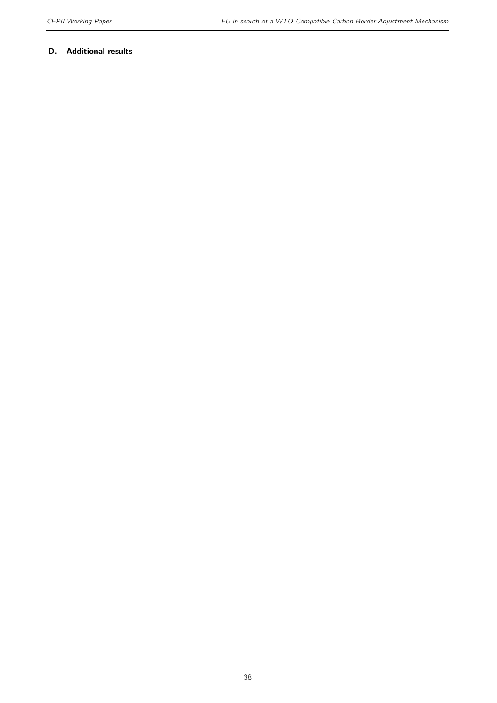#### D. Additional results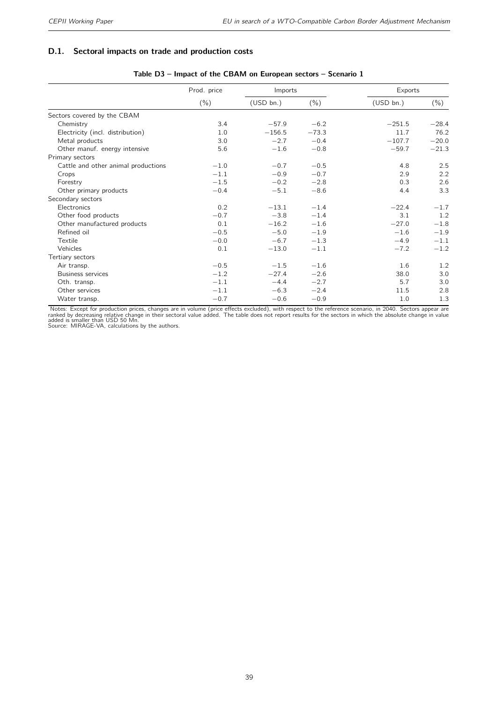#### D.1. Sectoral impacts on trade and production costs

|                                     | Prod. price | Imports   |         | Exports   |         |
|-------------------------------------|-------------|-----------|---------|-----------|---------|
|                                     | $(\% )$     | (USD bn.) | $(\% )$ | (USD bn.) | $(\% )$ |
| Sectors covered by the CBAM         |             |           |         |           |         |
| Chemistry                           | 3.4         | $-57.9$   | $-6.2$  | $-251.5$  | $-28.4$ |
| Electricity (incl. distribution)    | 1.0         | $-156.5$  | $-73.3$ | 11.7      | 76.2    |
| Metal products                      | 3.0         | $-2.7$    | $-0.4$  | $-107.7$  | $-20.0$ |
| Other manuf. energy intensive       | 5.6         | $-1.6$    | $-0.8$  | $-59.7$   | $-21.3$ |
| Primary sectors                     |             |           |         |           |         |
| Cattle and other animal productions | $-1.0$      | $-0.7$    | $-0.5$  | 4.8       | 2.5     |
| Crops                               | $-1.1$      | $-0.9$    | $-0.7$  | 2.9       | 2.2     |
| Forestry                            | $-1.5$      | $-0.2$    | $-2.8$  | 0.3       | 2.6     |
| Other primary products              | $-0.4$      | $-5.1$    | $-8.6$  | 4.4       | 3.3     |
| Secondary sectors                   |             |           |         |           |         |
| Electronics                         | 0.2         | $-13.1$   | $-1.4$  | $-22.4$   | $-1.7$  |
| Other food products                 | $-0.7$      | $-3.8$    | $-1.4$  | 3.1       | 1.2     |
| Other manufactured products         | 0.1         | $-16.2$   | $-1.6$  | $-27.0$   | $-1.8$  |
| Refined oil                         | $-0.5$      | $-5.0$    | $-1.9$  | $-1.6$    | $-1.9$  |
| Textile                             | $-0.0$      | $-6.7$    | $-1.3$  | $-4.9$    | $-1.1$  |
| Vehicles                            | 0.1         | $-13.0$   | $-1.1$  | $-7.2$    | $-1.2$  |
| Tertiary sectors                    |             |           |         |           |         |
| Air transp.                         | $-0.5$      | $-1.5$    | $-1.6$  | 1.6       | 1.2     |
| <b>Business services</b>            | $-1.2$      | $-27.4$   | $-2.6$  | 38.0      | 3.0     |
| Oth. transp.                        | $-1.1$      | $-4.4$    | $-2.7$  | 5.7       | 3.0     |
| Other services                      | $-1.1$      | $-6.3$    | $-2.4$  | 11.5      | 2.8     |
| Water transp.                       | $-0.7$      | $-0.6$    | $-0.9$  | 1.0       | 1.3     |

#### Table D3 – Impact of the CBAM on European sectors – Scenario 1

Notes: Except for production prices, changes are in volume (price effects excluded), with respect to the reference scenario, in 2040. Sectors appear are<br>ranked by decreasing relative change in their sectoral value added. T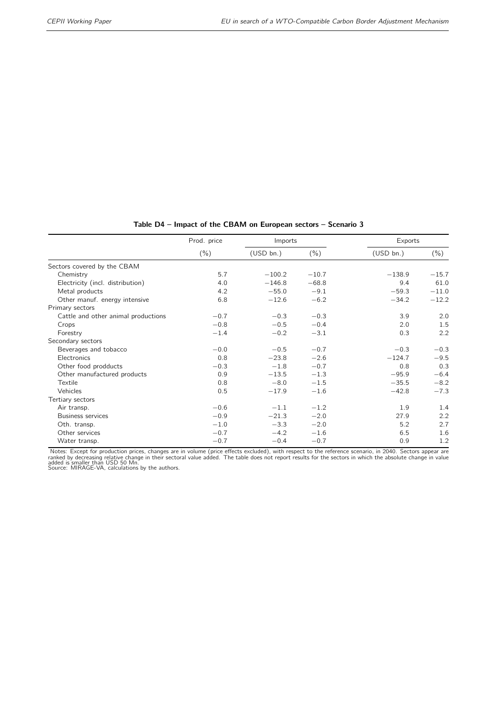|                                     | Prod. price |           | Imports |           | Exports       |
|-------------------------------------|-------------|-----------|---------|-----------|---------------|
|                                     | $(\% )$     | (USD bn.) | $(\% )$ | (USD bn.) | $(\% )$       |
| Sectors covered by the CBAM         |             |           |         |           |               |
| Chemistry                           | 5.7         | $-100.2$  | $-10.7$ | $-138.9$  | $-15.7$       |
| Electricity (incl. distribution)    | 4.0         | $-146.8$  | $-68.8$ | 9.4       | 61.0          |
| Metal products                      | 4.2         | $-55.0$   | $-9.1$  | $-59.3$   | $-11.0$       |
| Other manuf. energy intensive       | 6.8         | $-12.6$   | $-6.2$  | $-34.2$   | $-12.2$       |
| Primary sectors                     |             |           |         |           |               |
| Cattle and other animal productions | $-0.7$      | $-0.3$    | $-0.3$  | 3.9       | 2.0           |
| Crops                               | $-0.8$      | $-0.5$    | $-0.4$  | 2.0       | 1.5           |
| Forestry                            | $-1.4$      | $-0.2$    | $-3.1$  | 0.3       | 2.2           |
| Secondary sectors                   |             |           |         |           |               |
| Beverages and tobacco               | $-0.0$      | $-0.5$    | $-0.7$  | $-0.3$    | $-0.3$        |
| Electronics                         | 0.8         | $-23.8$   | $-2.6$  | $-124.7$  | $-9.5$        |
| Other food prodducts                | $-0.3$      | $-1.8$    | $-0.7$  | 0.8       | 0.3           |
| Other manufactured products         | 0.9         | $-13.5$   | $-1.3$  | $-95.9$   | $-6.4$        |
| Textile                             | 0.8         | $-8.0$    | $-1.5$  | $-35.5$   | $-8.2$        |
| Vehicles                            | 0.5         | $-17.9$   | $-1.6$  | $-42.8$   | $-7.3$        |
| Tertiary sectors                    |             |           |         |           |               |
| Air transp.                         | $-0.6$      | $-1.1$    | $-1.2$  | 1.9       | 1.4           |
| <b>Business services</b>            | $-0.9$      | $-21.3$   | $-2.0$  | 27.9      | 2.2           |
| Oth. transp.                        | $-1.0$      | $-3.3$    | $-2.0$  | 5.2       | 2.7           |
| Other services                      | $-0.7$      | $-4.2$    | $-1.6$  | 6.5       | 1.6           |
| Water transp.                       | $-0.7$      | $-0.4$    | $-0.7$  | 0.9       | $1.2^{\circ}$ |

#### Table D4 – Impact of the CBAM on European sectors – Scenario 3

Notes: Except for production prices, changes are in volume (price effects excluded), with respect to the reference scenario, in 2040. Sectors appear are<br>ranked by decreasing relative change in their sectoral value added. T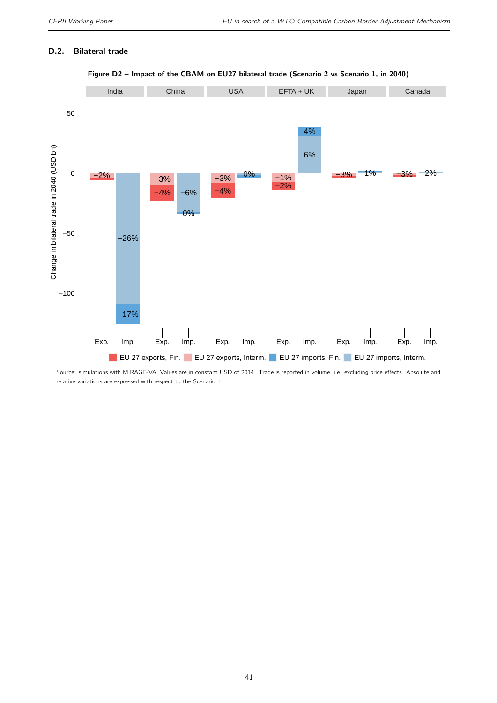#### D.2. Bilateral trade



#### Figure D2 – Impact of the CBAM on EU27 bilateral trade (Scenario 2 vs Scenario 1, in 2040)

Source: simulations with MIRAGE-VA. Values are in constant USD of 2014. Trade is reported in volume, i.e. excluding price effects. Absolute and relative variations are expressed with respect to the Scenario 1.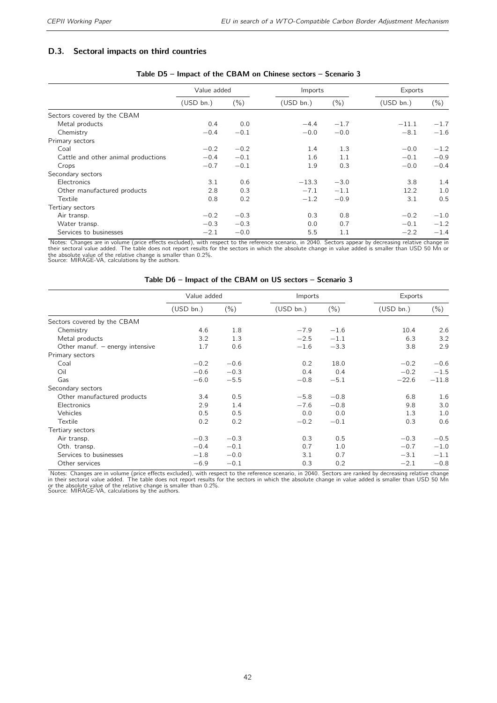#### D.3. Sectoral impacts on third countries

|                                     | Value added |         | Imports   |         | Exports   |         |
|-------------------------------------|-------------|---------|-----------|---------|-----------|---------|
|                                     | (USD bn.)   | $(\% )$ | (USD bn.) | $(\% )$ | (USD bn.) | $(\% )$ |
| Sectors covered by the CBAM         |             |         |           |         |           |         |
| Metal products                      | 0.4         | 0.0     | $-4.4$    | $-1.7$  | $-11.1$   | $-1.7$  |
| Chemistry                           | $-0.4$      | $-0.1$  | $-0.0$    | $-0.0$  | $-8.1$    | $-1.6$  |
| Primary sectors                     |             |         |           |         |           |         |
| Coal                                | $-0.2$      | $-0.2$  | 1.4       | 1.3     | $-0.0$    | $-1.2$  |
| Cattle and other animal productions | $-0.4$      | $-0.1$  | 1.6       | 1.1     | $-0.1$    | $-0.9$  |
| Crops                               | $-0.7$      | $-0.1$  | 1.9       | 0.3     | $-0.0$    | $-0.4$  |
| Secondary sectors                   |             |         |           |         |           |         |
| Electronics                         | 3.1         | 0.6     | $-13.3$   | $-3.0$  | 3.8       | 1.4     |
| Other manufactured products         | 2.8         | 0.3     | $-7.1$    | $-1.1$  | 12.2      | 1.0     |
| Textile                             | 0.8         | 0.2     | $-1.2$    | $-0.9$  | 3.1       | 0.5     |
| Tertiary sectors                    |             |         |           |         |           |         |
| Air transp.                         | $-0.2$      | $-0.3$  | 0.3       | 0.8     | $-0.2$    | $-1.0$  |
| Water transp.                       | $-0.3$      | $-0.3$  | 0.0       | 0.7     | $-0.1$    | $-1.2$  |
| Services to businesses              | $-2.1$      | $-0.0$  | 5.5       | 1.1     | $-2.2$    | $-1.4$  |

#### Table D5 – Impact of the CBAM on Chinese sectors – Scenario 3

Notes: Changes are in volume (price effects excluded), with respect to the reference scenario, in 2040. Sectors appear by decreasing relative change in<br>their sectoral value added. The table does not report results for the

|  | Table D6 – Impact of the CBAM on US sectors – Scenario 3 |  |  |  |
|--|----------------------------------------------------------|--|--|--|
|--|----------------------------------------------------------|--|--|--|

|                                   | Value added |         | Imports   |         | Exports   |         |
|-----------------------------------|-------------|---------|-----------|---------|-----------|---------|
|                                   | (USD bn.)   | $(\% )$ | (USD bn.) | $(\% )$ | (USD bn.) | $(\% )$ |
| Sectors covered by the CBAM       |             |         |           |         |           |         |
| Chemistry                         | 4.6         | 1.8     | $-7.9$    | $-1.6$  | 10.4      | 2.6     |
| Metal products                    | 3.2         | 1.3     | $-2.5$    | $-1.1$  | 6.3       | 3.2     |
| Other manuf. $-$ energy intensive | 1.7         | 0.6     | $-1.6$    | $-3.3$  | 3.8       | 2.9     |
| Primary sectors                   |             |         |           |         |           |         |
| Coal                              | $-0.2$      | $-0.6$  | 0.2       | 18.0    | $-0.2$    | $-0.6$  |
| Oil                               | $-0.6$      | $-0.3$  | 0.4       | 0.4     | $-0.2$    | $-1.5$  |
| Gas                               | $-6.0$      | $-5.5$  | $-0.8$    | $-5.1$  | $-22.6$   | $-11.8$ |
| Secondary sectors                 |             |         |           |         |           |         |
| Other manufactured products       | 3.4         | 0.5     | $-5.8$    | $-0.8$  | 6.8       | 1.6     |
| Electronics                       | 2.9         | 1.4     | $-7.6$    | $-0.8$  | 9.8       | 3.0     |
| Vehicles                          | 0.5         | 0.5     | 0.0       | 0.0     | 1.3       | 1.0     |
| Textile                           | 0.2         | 0.2     | $-0.2$    | $-0.1$  | 0.3       | 0.6     |
| Tertiary sectors                  |             |         |           |         |           |         |
| Air transp.                       | $-0.3$      | $-0.3$  | 0.3       | 0.5     | $-0.3$    | $-0.5$  |
| Oth. transp.                      | $-0.4$      | $-0.1$  | 0.7       | 1.0     | $-0.7$    | $-1.0$  |
| Services to businesses            | $-1.8$      | $-0.0$  | 3.1       | 0.7     | $-3.1$    | $-1.1$  |
| Other services                    | $-6.9$      | $-0.1$  | 0.3       | 0.2     | $-2.1$    | $-0.8$  |

Notes: Changes are in volume (price effects excluded), with respect to the reference scenario, in 2040. Sectors are ranked by decreasing relative change<br>in their sectoral value added. The table does not report results for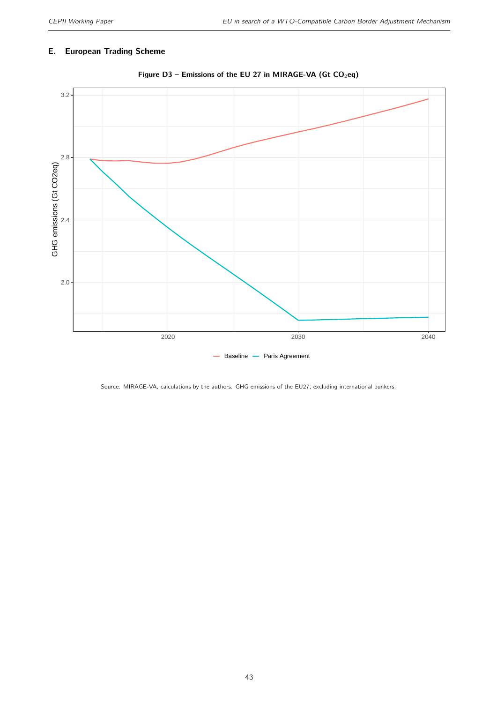#### E. European Trading Scheme



Figure D3 – Emissions of the EU 27 in MIRAGE-VA (Gt  $CO<sub>2</sub>eq$ )

Source: MIRAGE-VA, calculations by the authors. GHG emissions of the EU27, excluding international bunkers.